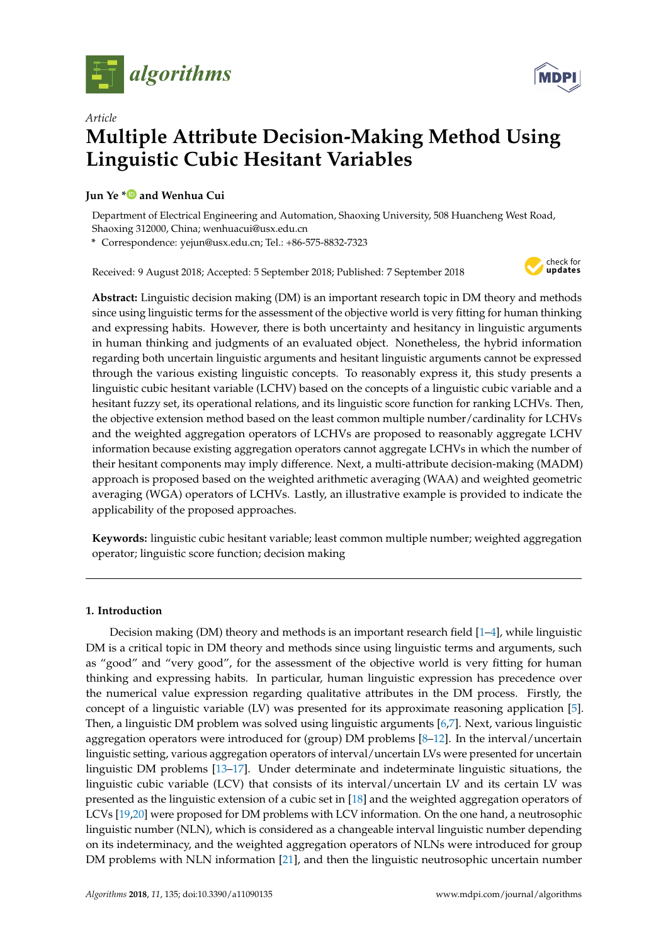

*Article*



# **Multiple Attribute Decision-Making Method Using Linguistic Cubic Hesitant Variables**

# **Jun Ye [\\*](https://orcid.org/0000-0003-2841-6529) and Wenhua Cui**

Department of Electrical Engineering and Automation, Shaoxing University, 508 Huancheng West Road, Shaoxing 312000, China; wenhuacui@usx.edu.cn

**\*** Correspondence: yejun@usx.edu.cn; Tel.: +86-575-8832-7323

Received: 9 August 2018; Accepted: 5 September 2018; Published: 7 September 2018



**Abstract:** Linguistic decision making (DM) is an important research topic in DM theory and methods since using linguistic terms for the assessment of the objective world is very fitting for human thinking and expressing habits. However, there is both uncertainty and hesitancy in linguistic arguments in human thinking and judgments of an evaluated object. Nonetheless, the hybrid information regarding both uncertain linguistic arguments and hesitant linguistic arguments cannot be expressed through the various existing linguistic concepts. To reasonably express it, this study presents a linguistic cubic hesitant variable (LCHV) based on the concepts of a linguistic cubic variable and a hesitant fuzzy set, its operational relations, and its linguistic score function for ranking LCHVs. Then, the objective extension method based on the least common multiple number/cardinality for LCHVs and the weighted aggregation operators of LCHVs are proposed to reasonably aggregate LCHV information because existing aggregation operators cannot aggregate LCHVs in which the number of their hesitant components may imply difference. Next, a multi-attribute decision-making (MADM) approach is proposed based on the weighted arithmetic averaging (WAA) and weighted geometric averaging (WGA) operators of LCHVs. Lastly, an illustrative example is provided to indicate the applicability of the proposed approaches.

**Keywords:** linguistic cubic hesitant variable; least common multiple number; weighted aggregation operator; linguistic score function; decision making

# **1. Introduction**

Decision making (DM) theory and methods is an important research field  $[1-4]$  $[1-4]$ , while linguistic DM is a critical topic in DM theory and methods since using linguistic terms and arguments, such as "good" and "very good", for the assessment of the objective world is very fitting for human thinking and expressing habits. In particular, human linguistic expression has precedence over the numerical value expression regarding qualitative attributes in the DM process. Firstly, the concept of a linguistic variable (LV) was presented for its approximate reasoning application [\[5\]](#page-11-2). Then, a linguistic DM problem was solved using linguistic arguments [\[6](#page-11-3)[,7\]](#page-11-4). Next, various linguistic aggregation operators were introduced for (group) DM problems [\[8](#page-11-5)[–12\]](#page-11-6). In the interval/uncertain linguistic setting, various aggregation operators of interval/uncertain LVs were presented for uncertain linguistic DM problems [\[13–](#page-11-7)[17\]](#page-12-0). Under determinate and indeterminate linguistic situations, the linguistic cubic variable (LCV) that consists of its interval/uncertain LV and its certain LV was presented as the linguistic extension of a cubic set in [\[18\]](#page-12-1) and the weighted aggregation operators of LCVs [\[19,](#page-12-2)[20\]](#page-12-3) were proposed for DM problems with LCV information. On the one hand, a neutrosophic linguistic number (NLN), which is considered as a changeable interval linguistic number depending on its indeterminacy, and the weighted aggregation operators of NLNs were introduced for group DM problems with NLN information [\[21\]](#page-12-4), and then the linguistic neutrosophic uncertain number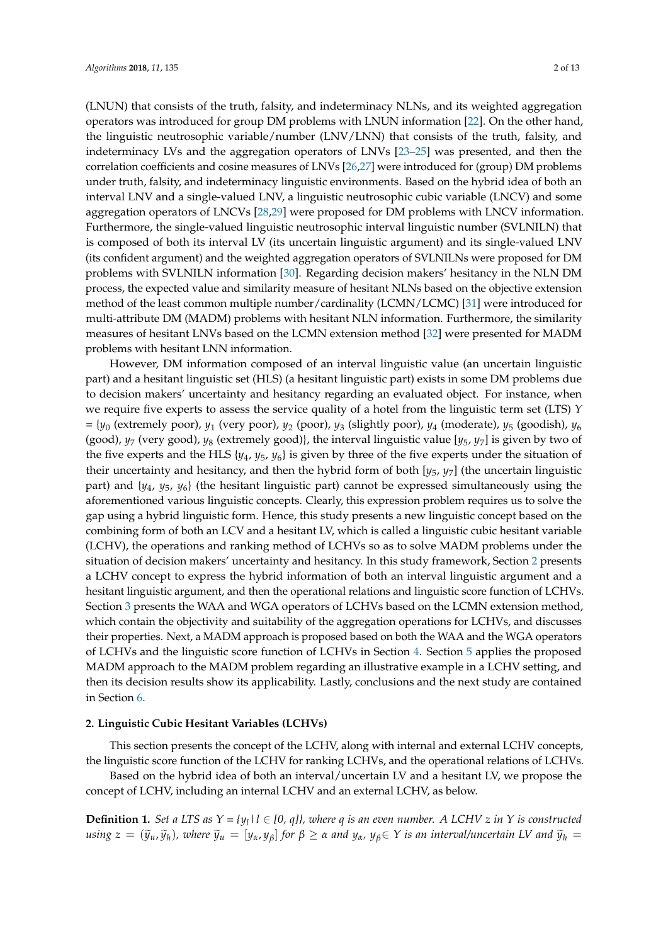(LNUN) that consists of the truth, falsity, and indeterminacy NLNs, and its weighted aggregation operators was introduced for group DM problems with LNUN information [\[22\]](#page-12-5). On the other hand, the linguistic neutrosophic variable/number (LNV/LNN) that consists of the truth, falsity, and indeterminacy LVs and the aggregation operators of LNVs [\[23](#page-12-6)[–25\]](#page-12-7) was presented, and then the correlation coefficients and cosine measures of LNVs [\[26](#page-12-8)[,27\]](#page-12-9) were introduced for (group) DM problems under truth, falsity, and indeterminacy linguistic environments. Based on the hybrid idea of both an interval LNV and a single-valued LNV, a linguistic neutrosophic cubic variable (LNCV) and some aggregation operators of LNCVs [\[28,](#page-12-10)[29\]](#page-12-11) were proposed for DM problems with LNCV information. Furthermore, the single-valued linguistic neutrosophic interval linguistic number (SVLNILN) that is composed of both its interval LV (its uncertain linguistic argument) and its single-valued LNV (its confident argument) and the weighted aggregation operators of SVLNILNs were proposed for DM problems with SVLNILN information [\[30\]](#page-12-12). Regarding decision makers' hesitancy in the NLN DM process, the expected value and similarity measure of hesitant NLNs based on the objective extension method of the least common multiple number/cardinality (LCMN/LCMC) [\[31\]](#page-12-13) were introduced for multi-attribute DM (MADM) problems with hesitant NLN information. Furthermore, the similarity measures of hesitant LNVs based on the LCMN extension method [\[32\]](#page-12-14) were presented for MADM problems with hesitant LNN information.

However, DM information composed of an interval linguistic value (an uncertain linguistic part) and a hesitant linguistic set (HLS) (a hesitant linguistic part) exists in some DM problems due to decision makers' uncertainty and hesitancy regarding an evaluated object. For instance, when we require five experts to assess the service quality of a hotel from the linguistic term set (LTS) *Y*  $= {y_0}$  (extremely poor),  $y_1$  (very poor),  $y_2$  (poor),  $y_3$  (slightly poor),  $y_4$  (moderate),  $y_5$  (goodish),  $y_6$ (good), *y*<sup>7</sup> (very good), *y*<sup>8</sup> (extremely good)}, the interval linguistic value [*y*5, *y*7] is given by two of the five experts and the HLS {*y*4, *y*5, *y*6} is given by three of the five experts under the situation of their uncertainty and hesitancy, and then the hybrid form of both [*y*5, *y*7] (the uncertain linguistic part) and {*y*4, *y*5, *y*6} (the hesitant linguistic part) cannot be expressed simultaneously using the aforementioned various linguistic concepts. Clearly, this expression problem requires us to solve the gap using a hybrid linguistic form. Hence, this study presents a new linguistic concept based on the combining form of both an LCV and a hesitant LV, which is called a linguistic cubic hesitant variable (LCHV), the operations and ranking method of LCHVs so as to solve MADM problems under the situation of decision makers' uncertainty and hesitancy. In this study framework, Section [2](#page-1-0) presents a LCHV concept to express the hybrid information of both an interval linguistic argument and a hesitant linguistic argument, and then the operational relations and linguistic score function of LCHVs. Section [3](#page-3-0) presents the WAA and WGA operators of LCHVs based on the LCMN extension method, which contain the objectivity and suitability of the aggregation operations for LCHVs, and discusses their properties. Next, a MADM approach is proposed based on both the WAA and the WGA operators of LCHVs and the linguistic score function of LCHVs in Section [4.](#page-7-0) Section [5](#page-8-0) applies the proposed MADM approach to the MADM problem regarding an illustrative example in a LCHV setting, and then its decision results show its applicability. Lastly, conclusions and the next study are contained in Section [6.](#page-10-0)

## <span id="page-1-0"></span>**2. Linguistic Cubic Hesitant Variables (LCHVs)**

This section presents the concept of the LCHV, along with internal and external LCHV concepts, the linguistic score function of the LCHV for ranking LCHVs, and the operational relations of LCHVs.

Based on the hybrid idea of both an interval/uncertain LV and a hesitant LV, we propose the concept of LCHV, including an internal LCHV and an external LCHV, as below.

**Definition 1.** *Set a LTS as*  $Y = \{y_l | l \in [0, q] \}$ , where q is an even number. A LCHV z in Y is constructed using  $z=(\widetilde{y}_u,\widetilde{y}_h)$ , where  $\widetilde{y}_u=[y_\alpha,y_\beta]$  for  $\beta\geq\alpha$  and  $y_\alpha$ ,  $y_\beta\in Y$  is an interval/uncertain LV and  $\widetilde{y}_h=$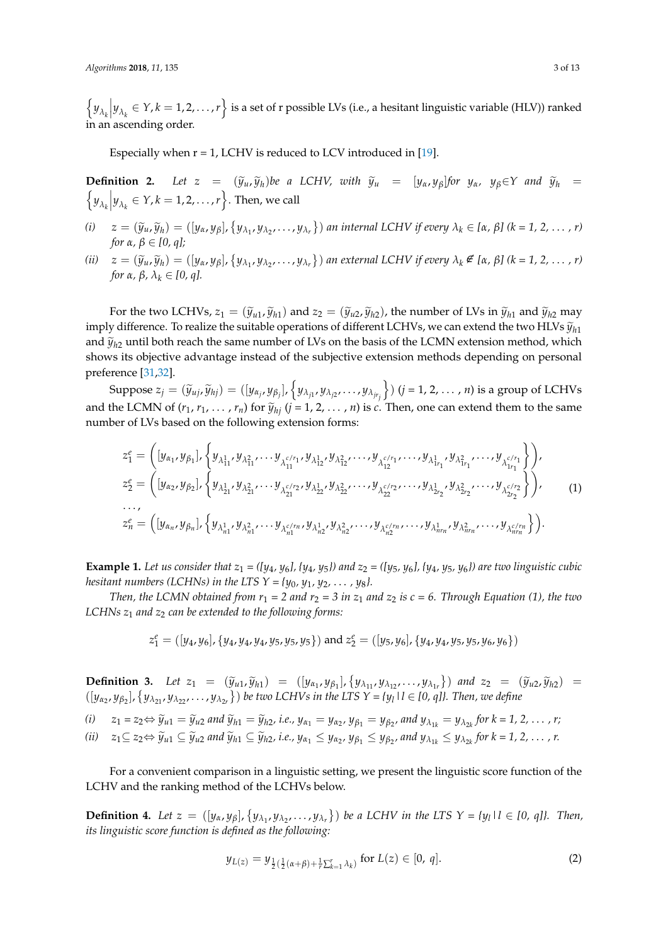$\left\{ y_{\lambda_k} | y_{\lambda_k} \in Y, k = 1, 2, \ldots, r \right\}$  is a set of r possible LVs (i.e., a hesitant linguistic variable (HLV)) ranked in an ascending order.

Especially when r = 1, LCHV is reduced to LCV introduced in [\[19\]](#page-12-2).

**Definition 2.** Let  $z = (\tilde{y}_u, \tilde{y}_h)$  be a LCHV, with  $\tilde{y}_u = [y_\alpha, y_\beta]$  for  $y_\alpha$ ,  $y_\beta \in Y$  and  $\tilde{y}_h =$ <br> $\begin{cases} y_u & \text{if } u \in Y \mid u \in Y \mid h-1 \end{cases}$  Then we call  $y_{\lambda_k}$   $y_{\lambda_k} \in Y$ ,  $k = 1, 2, ..., r$ . Then, we call *y***ennition 2.** Let  $z = (y_u, y_h)$  be a light

- (i)  $z = (\tilde{y}_u, \tilde{y}_h) = ([y_\alpha, y_\beta], \{y_{\lambda_1}, y_{\lambda_2}, \dots, y_{\lambda_r}\})$  an internal LCHV if every  $\lambda_k \in [\alpha, \beta]$  (k = 1, 2, ..., r) *for α, β* ∈ *[0, q]; for α, β* <sup>∈</sup> *[0, q];*
- (ii)  $z = (\tilde{y}_u, \tilde{y}_h) = ([y_\alpha, y_\beta], \{y_{\lambda_1}, y_{\lambda_2}, \dots, y_{\lambda_r}\})$  an external LCHV if every  $\lambda_k \notin [\alpha, \beta]$  (k = 1, 2, ..., r) *α, β, λ<sup>k</sup>* <sup>∈</sup> *[0, q]. for α, β, λ<sup>k</sup>* ∈ *[0, q].*

For the two LCHVs,  $z_1 = (\tilde{y}_{u1}, \tilde{y}_{h1})$  and  $z_2 = (\tilde{y}_{u2}, \tilde{y}_{h2})$ , the number of LVs in  $\tilde{y}_{h1}$  and  $\tilde{y}_{h2}$  may imply difference. To realize the suitable operations of different LCHVs, we can extend the two HLVs  $\widetilde{y}_{h1}$ and  $\tilde{y}_{h2}$  until both reach the same number of LVs on the basis of the LCMN extension method, which shows its objective advantage instead of the subjective extension methods depending on personal preference [\[31,](#page-12-13)[32\]](#page-12-14).

Suppose  $z_j = (\tilde{y}_{uj}, \tilde{y}_{hj}) = ([y_{\alpha_j}, y_{\beta_j}], \{y_{\lambda_{j1}}, y_{\lambda_{j2}}, \dots, y_{\lambda_{jr_j}}\})$   $(j = 1, 2, \dots, n)$  is a group of LCHVs and the LCMN of  $(r_1, r_1, \ldots, r_n)$  for  $\widetilde{y}_{hj}$   $(j = 1, 2, \ldots, n)$  is  $c$ . Then, one can extend them to the same number of LVs based on the following extension forms: number of LVs based on the following extension forms:

$$
z_1^e = \left( [y_{\alpha_1}, y_{\beta_1}], \left\{ y_{\lambda_{11}^1}, y_{\lambda_{11}^2}, \dots y_{\lambda_{11}^{c/r_1}}, y_{\lambda_{12}^1}, y_{\lambda_{12}^2}, \dots, y_{\lambda_{12}^{c/r_1}}, \dots, y_{\lambda_{1r_1}^1}, y_{\lambda_{1r_1}^2}, \dots, y_{\lambda_{1r_1}^{c/r_1}} \right\} \right),
$$
  
\n
$$
z_2^e = \left( [y_{\alpha_2}, y_{\beta_2}], \left\{ y_{\lambda_{21}^1}, y_{\lambda_{21}^2}, \dots, y_{\lambda_{21}^{c/r_2}}, y_{\lambda_{22}^1}, y_{\lambda_{22}^2}, \dots, y_{\lambda_{2r_2}^{c/r_2}}, \dots, y_{\lambda_{2r_2}^2}, \dots, y_{\lambda_{2r_2}^{c/r_2}} \right\} \right),
$$
  
\n
$$
\dots,
$$
  
\n
$$
z_n^e = \left( [y_{\alpha_n}, y_{\beta_n}], \left\{ y_{\lambda_{n1}^1}, y_{\lambda_{n1}^2}, \dots, y_{\lambda_{n1}^{c/r_n}}, y_{\lambda_{n2}^1}, y_{\lambda_{n2}^2}, \dots, y_{\lambda_{n2}^{c/r_n}}, \dots, y_{\lambda_{nr_n}^1}, y_{\lambda_{nr_n}^2}, \dots, y_{\lambda_{nr_n}^{c/r_n}} \right\} \right).
$$
  
\n(1)

**Example 1.** Let us consider that  $z_1 = (\lfloor y_4, y_6 \rfloor, \lfloor y_4, y_5 \rfloor)$  and  $z_2 = (\lfloor y_5, y_6 \rfloor, \lfloor y_4, y_5, y_6 \rfloor)$  are two linguistic cubic *hesitant numbers (LCHNs) in the LTS Y = {* $y_0$ *,*  $y_1$ *,*  $y_2$ *, ...,*  $y_8$ *}.* 

LCHNs  $z_1$  and  $z_2$  can be extended to the following forms: *Then, the LCMN obtained from*  $r_1 = 2$  *and*  $r_2 = 3$  *in*  $z_1$  *and*  $z_2$  *is*  $c = 6$ *. Through Equation (1), the two* 

$$
z_1^e = ([y_4, y_6], \{y_4, y_4, y_5, y_5, y_5, y_5\}) \text{ and } z_2^e = ([y_5, y_6], \{y_4, y_4, y_5, y_5, y_6, y_6\})
$$

**Definition 3.** Let  $z_1 = (\tilde{y}_{u1}, \tilde{y}_{h1}) = ([y_{\alpha_1}, y_{\beta_1}], \{y_{\lambda_{11}}, y_{\lambda_{12}}, \dots, y_{\lambda_{1r}}\})$  and  $z_2 = (\tilde{y}_{u2}, \tilde{y}_{h2}) =$  $\frac{2}{\pi}$  *is y e y e i e*<sub>1</sub> *e*<sub>1</sub> *e*<sub>1</sub> *e*<sub>1</sub> *e*<sub>1</sub> *e*<sub>1</sub> *e*<sub>1</sub> *e*<sub>1</sub> *e*<sub>1</sub> *e*<sub>1</sub> *e*<sub>1</sub> *e*<sub>1</sub> *e*<sub>1</sub> *e*<sub>1</sub> *e*<sub>1</sub> *e*<sub>1</sub> *e*<sub>1</sub> *e*<sub>1</sub> *e*<sub>1</sub> *e*<sub>1</sub> *e*<sub>1</sub> *e*<sub>1</sub> *e*<sub>1</sub> *e*<sub>1</sub> *e*<sub>1</sub> *e*<sub>1</sub> *e*<sub>1</sub>  $([y_{\alpha_2}, y_{\beta_2}], \{y_{\lambda_{21}}, y_{\lambda_{22}}, \ldots, y_{\lambda_{2r}}\})$  be two LCHVs in the LTS  $Y = \{y_l | l \in [0, q]\}$ . Then, we define

(i)  $z_1 = z_2 \Leftrightarrow \widetilde{y}_{u1} = \widetilde{y}_{u2}$  and  $\widetilde{y}_{h1} = \widetilde{y}_{h2}$ , i.e.,  $y_{\alpha_1} = y_{\alpha_2}$ ,  $y_{\beta_1} = y_{\beta_2}$ , and  $y_{\lambda_{1k}} = y_{\lambda_{2k}}$  for  $k = 1, 2, ..., r$ ; (ii)  $z_1 \subseteq z_2 \Leftrightarrow \widetilde{y}_{u1} \subseteq \widetilde{y}_{u2}$  and  $\widetilde{y}_{h1} \subseteq \widetilde{y}_{h2}$ , i.e.,  $y_{\alpha_1} \le y_{\alpha_2}$ ,  $y_{\beta_1} \le y_{\beta_2}$ , and  $y_{\lambda_{1k}} \le y_{\lambda_{2k}}$  for  $k = 1, 2, ..., r$ .

For a convenient comparison in a linguistic setting, we present the linguistic score function of the *Then, we define*  LCHV and the ranking method of the LCHVs below.

**Definition** 3. *Let is a let if a let if a***<sub>***let is a***<sub>let</sub>** *r* $\mathbf{v} \cdot \mathbf{z}$ **,**  $\mathbf{v} \cdot \mathbf{z}$ **,**  $\mathbf{v} \cdot \mathbf{z}$ **,**  $\mathbf{v} \cdot \mathbf{z}$ **,**  $\mathbf{v} \cdot \mathbf{z}$ **,**  $\mathbf{v} \cdot \mathbf{z}$ **,**  $\mathbf{v} \cdot \mathbf{z}$ **,**  $\mathbf{v} \cdot \mathbf{z}$ **, \mathbf{v} \cdot \math** $$ 

**Definition 4.** Let  $z = ([y_\alpha, y_\beta], \{y_{\lambda_1}, y_{\lambda_2}, \ldots, y_{\lambda_r}\})$  be a LCHV in the LTS  $Y = \{y_l | l \in [0, q]\}$ . Then, its linguistic score function is defined as the following:<br>

$$
y_{L(z)} = y_{\frac{1}{2}(\frac{1}{2}(\alpha+\beta)+\frac{1}{r}\sum_{k=1}^{r} \lambda_k)} \text{ for } L(z) \in [0, q].
$$
 (2)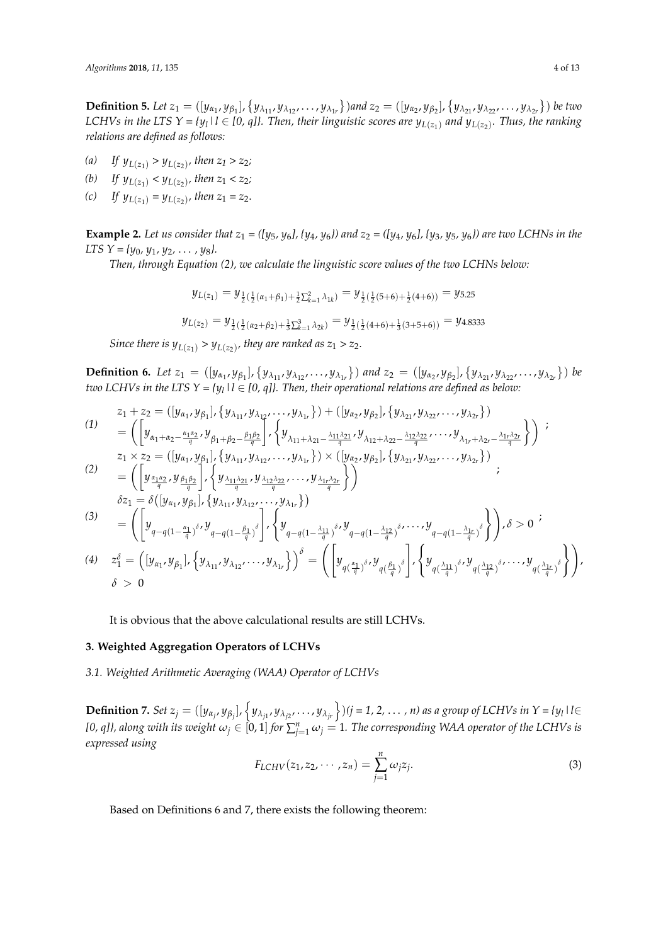**Definition 5.** Let  $z_1 = (\left[y_{\alpha_1}, y_{\beta_1}\right], \left\{y_{\lambda_{11}}, y_{\lambda_{12}}, \ldots, y_{\lambda_{1r}}\right\})$  and  $z_2 = (\left[y_{\alpha_2}, y_{\beta_2}\right], \left\{y_{\lambda_{21}}, y_{\lambda_{22}}, \ldots, y_{\lambda_{2r}}\right\})$  be two  $LCHVs$  in the LTS  $Y = \{y_l | l \in [0, q]\}$ . Then, their linguistic scores are  $y_{L(z_1)}$  and  $y_{L(z_2)}$ . Thus, the ranking *relations are defined as follows:*

- (a) If  $y_{L(z_1)} > y_{L(z_2)}$ , then  $z_1 > z_2$ ;
- (b) If  $y_{L(z_1)} < y_{L(z_2)}$ , then  $z_1 < z_2$ ;
- (*c*) *If*  $y_{L(z_1)} = y_{L(z_2)}$ , then  $z_1 = z_2$ .

**Example 2.** Let us consider that  $z_1 = ( [y_5, y_6]$ ,  $\{y_4, y_6\}$  and  $z_2 = ( [y_4, y_6]$ ,  $\{y_3, y_5, y_6\}$  are two LCHNs in the *LTS Y = {y*0*, y*1*, y*2*,* . . . *, y*8*}.*

*Then, through Equation (2), we calculate the linguistic score values of the two LCHNs below:*

$$
y_{L(z_1)} = y_{\frac{1}{2}(\frac{1}{2}(\alpha_1 + \beta_1) + \frac{1}{2}\sum_{k=1}^2 \lambda_{1k})} = y_{\frac{1}{2}(\frac{1}{2}(5+6) + \frac{1}{2}(4+6))} = y_{5.25}
$$
  

$$
y_{L(z_2)} = y_{\frac{1}{2}(\frac{1}{2}(\alpha_2 + \beta_2) + \frac{1}{3}\sum_{k=1}^3 \lambda_{2k})} = y_{\frac{1}{2}(\frac{1}{2}(4+6) + \frac{1}{3}(3+5+6))} = y_{4.8333}
$$

*Since there is*  $y_{L(z_1)} > y_{L(z_2)}$ , they are ranked as  $z_1 > z_2$ .

**Definition 6.** Let  $z_1 = ([y_{\alpha_1}, y_{\beta_1}], \{y_{\lambda_{11}}, y_{\lambda_{12}}, \ldots, y_{\lambda_{1r}}\})$  and  $z_2 = ([y_{\alpha_2}, y_{\beta_2}], \{y_{\lambda_{21}}, y_{\lambda_{22}}, \ldots, y_{\lambda_{2r}}\})$  be *two LCHVs in the LTS Y = {yl|l* ∈ *[0, q]}. Then, their operational relations are defined as below:*

$$
(1) \quad\n\begin{aligned}\n& z_1 + z_2 = (\left[y_{\alpha_1}, y_{\beta_1}\right], \left\{y_{\lambda_{11}}, y_{\lambda_{12}}, \ldots, y_{\lambda_{1r}}\right\}) + \left(\left[y_{\alpha_2}, y_{\beta_2}\right], \left\{y_{\lambda_{21}}, y_{\lambda_{22}}, \ldots, y_{\lambda_{2r}}\right\}\right) \\
&= \left(\left[y_{\alpha_1 + \alpha_2 - \frac{\alpha_1 \alpha_2}{q}}, y_{\beta_1 + \beta_2 - \frac{\beta_1 \beta_2}{q}}\right], \left\{y_{\lambda_{11} + \lambda_{21} - \frac{\lambda_{11} \lambda_{21}}{q}}, y_{\lambda_{12} + \lambda_{22} - \frac{\lambda_{12} \lambda_{22}}{q}}, \ldots, y_{\lambda_{1r} + \lambda_{2r} - \frac{\lambda_{1r} \lambda_{2r}}{q}}\right\}\right) \\
& z_1 \times z_2 = (\left[y_{\alpha_1}, y_{\beta_1}\right], \left\{y_{\lambda_{11}}, y_{\lambda_{12}}, \ldots, y_{\lambda_{1r}}\right\}) \times (\left[y_{\alpha_2}, y_{\beta_2}\right], \left\{y_{\lambda_{21}}, y_{\lambda_{22}}, \ldots, y_{\lambda_{2r}}\right\})\n\end{aligned}
$$

(2)  
\n
$$
\begin{array}{l}\n= \left( \left[ y_{\frac{\alpha_1 \alpha_2}{q}}, y_{\frac{\beta_1 \beta_2}{q}} \right], \left\{ y_{\frac{\lambda_{11} \lambda_{21}}{q}}, y_{\frac{\lambda_{12} \lambda_{22}}{q}}, \ldots, y_{\frac{\lambda_{1r} \lambda_{2r}}{q}} \right\} \right) \\
\delta z_1 = \delta \left( \left[ y_{\alpha_1}, y_{\beta_1} \right], \left\{ y_{\lambda_{11}}, y_{\lambda_{12}}, \ldots, y_{\lambda_{1r}} \right\} \right)\n\end{array}
$$

$$
\begin{array}{lll}\n\text{(3)} & = \left( \left[ y_{q-q(1-\frac{\alpha_1}{q})} \delta, y_{q-q(1-\frac{\beta_1}{q})} \delta \right], \left\{ y_{q-q(1-\frac{\lambda_{11}}{q})} \delta, y_{q-q(1-\frac{\lambda_{12}}{q})} \delta, \dots, y_{q-q(1-\frac{\lambda_{1r}}{q})} \delta \right\} \right), \delta > 0\n\end{array}
$$
\n
$$
\text{(4)} \quad z_1^{\delta} = \left( \left[ y_{\alpha_1}, y_{\beta_1} \right], \left\{ y_{\lambda_1}, y_{\lambda_1}, \dots, y_{\lambda_{1r}} \right\} \right)^{\delta} = \left( \left[ y_{\alpha_1}, \delta, y_{\beta_1}, \delta \right], \left\{ y_{\lambda_1}, \delta, y_{\beta_1}, \dots, y_{\lambda_{1r}} \delta \right\} \right), \delta > 0\n\end{array}
$$

$$
(4) \quad z_1^{\delta} = \left( [y_{\alpha_1}, y_{\beta_1}], \left\{ y_{\lambda_{11}}, y_{\lambda_{12}}, \dots, y_{\lambda_{1r}} \right\} \right)^{\delta} = \left( \left[ y_{q(\frac{\alpha_1}{q})^{\delta}}, y_{q(\frac{\beta_1}{q})^{\delta}} \right], \left\{ y_{q(\frac{\lambda_{11}}{q})^{\delta}}, y_{q(\frac{\lambda_{12}}{q})^{\delta}}, \dots, y_{q(\frac{\lambda_{1r}}{q})^{\delta}} \right\} \right)
$$
\n
$$
\delta > 0
$$

It is obvious that the above calculational results are still LCHVs.

# <span id="page-3-0"></span>**3. Weighted Aggregation Operators of LCHVs**

*3.1. Weighted Arithmetic Averaging (WAA) Operator of LCHVs*

**Definition 7.** Set  $z_j = ([y_{\alpha_j}, y_{\beta_j}], \{y_{\lambda_{j1}}, y_{\lambda_{j2}}, \ldots, y_{\lambda_{jr}}\})$  $(j = 1, 2, \ldots, n)$  as a group of LCHVs in  $Y = \{y_l | l \in N \}$  $[0, q]$ }, along with its weight  $\omega_j \in [0,1]$  for  $\sum_{j=1}^n \omega_j = 1.$  The corresponding WAA operator of the LCHVs is *expressed using*

$$
F_{LCHV}(z_1, z_2, \cdots, z_n) = \sum_{j=1}^n \omega_j z_j.
$$
 (3)

Based on Definitions 6 and 7, there exists the following theorem: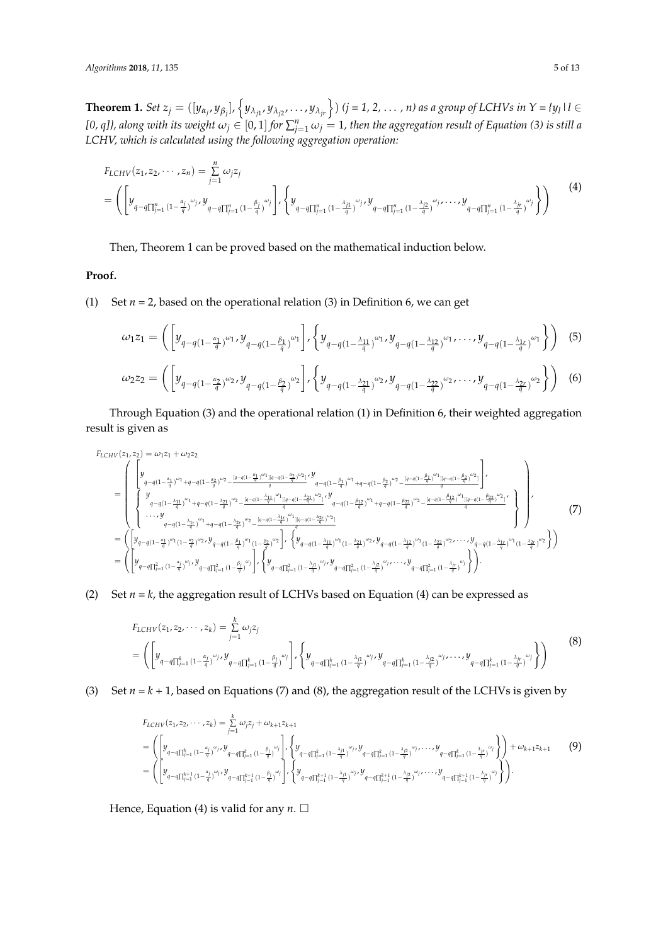**Theorem 1.** Set  $z_j = ([y_{\alpha_j}, y_{\beta_j}], \{y_{\lambda_{j1}}, y_{\lambda_{j2}}, \ldots, y_{\lambda_{jr}}\})$   $(j = 1, 2, \ldots, n)$  as a group of LCHVs in  $Y = \{y_l | l \in I\}$ [0, q]}, along with its weight  $\omega_j\in[0,1]$  for  $\sum_{j=1}^n\omega_j=1$ , then the aggregation result of Equation (3) is still a *LCHV, which is calculated using the following aggregation operation:*

$$
F_{LCHV}(z_1, z_2, \cdots, z_n) = \sum_{j=1}^n \omega_j z_j
$$
\n
$$
= \left( \left[ y_{q-q\prod_{j=1}^n (1-\frac{\alpha_j}{q})^{\omega_j}} y_{q-q\prod_{j=1}^n (1-\frac{\beta_j}{q})^{\omega_j}} \right] \cdot \left\{ y_{q-q\prod_{j=1}^n (1-\frac{\lambda_{j1}}{q})^{\omega_j}} y_{q-q\prod_{j=1}^n (1-\frac{\lambda_{j2}}{q})^{\omega_j}} \cdot y_{q-q\prod_{j=1}^n (1-\frac{\lambda_{j2}}{q})^{\omega_j}} \cdot y_{q-q\prod_{j=1}^n (1-\frac{\lambda_{j2}}{q})^{\omega_j}} \cdot y_{q-q\prod_{j=1}^n (1-\frac{\lambda_{j2}}{q})^{\omega_j}} \cdot y_{q-q\prod_{j=1}^n (1-\frac{\lambda_{j2}}{q})^{\omega_j}} \cdot y_{q-q\prod_{j=1}^n (1-\frac{\lambda_{j2}}{q})^{\omega_j}} \cdot y_{q-q\prod_{j=1}^n (1-\frac{\lambda_{j2}}{q})^{\omega_j}} \cdot y_{q-q\prod_{j=1}^n (1-\frac{\lambda_{j2}}{q})^{\omega_j}} \cdot y_{q-q\prod_{j=1}^n (1-\frac{\lambda_{j2}}{q})^{\omega_j}} \cdot y_{q-q\prod_{j=1}^n (1-\frac{\lambda_{j2}}{q})^{\omega_j}} \cdot y_{q-q\prod_{j=1}^n (1-\frac{\lambda_{j2}}{q})^{\omega_j}} \cdot y_{q-q\prod_{j=1}^n (1-\frac{\lambda_{j2}}{q})^{\omega_j}} \cdot y_{q-q\prod_{j=1}^n (1-\frac{\lambda_{j2}}{q})^{\omega_j}} \cdot y_{q-q\prod_{j=1}^n (1-\frac{\lambda_{j2}}{q})^{\omega_j}} \cdot y_{q-q\prod_{j=1}^n (1-\frac{\lambda_{j2}}{q})^{\omega_j}} \cdot y_{q-q\prod_{j=1}^n (1-\frac{\lambda_{j2}}{q})^{\omega_j}} \cdot y_{q-q\prod_{j=1}^n (1-\frac{\lambda_{j2}}{q})^{\omega_j}} \cdot y_{q-q\prod_{j=1}^n (1-\frac{\lambda_{j2}}{q})^{\omega_j}} \cdot y_{q-q\prod_{j=1}^n (1-\
$$

Then, Theorem 1 can be proved based on the mathematical induction below.

## **Proof.**

(1) Set  $n = 2$ , based on the operational relation (3) in Definition 6, we can get

$$
\omega_1 z_1 = \left( \left[ y_{q-q(1-\frac{\alpha_1}{q})}^{\omega_1} y_{q-q(1-\frac{\beta_1}{q})}^{\omega_1} \right] \left[ y_{q-q(1-\frac{\lambda_{11}}{q})}^{\omega_1} y_{q-q(1-\frac{\lambda_{12}}{q})}^{\omega_1} \cdots y_{q-q(1-\frac{\lambda_{1r}}{q})}^{\omega_1} \right] \right) \tag{5}
$$

$$
\omega_2 z_2 = \left( \left[ y_{q-q(1-\frac{\alpha_2}{q})^{\omega_2}} y_{q-q(1-\frac{\beta_2}{q})^{\omega_2}} \right] \left[ y_{q-q(1-\frac{\lambda_{21}}{q})^{\omega_2}} y_{q-q(1-\frac{\lambda_{22}}{q})^{\omega_2}} \cdots y_{q-q(1-\frac{\lambda_{2r}}{q})^{\omega_2}} \right] \right) \tag{6}
$$

Through Equation (3) and the operational relation (1) in Definition 6, their weighted aggregation result is given as

$$
F_{LCHV}(z_1, z_2) = \omega_1 z_1 + \omega_2 z_2
$$
\n
$$
= \left( \begin{bmatrix} y & & \\ y & & \\ q & -q(1 - \frac{\alpha_1}{q})^{\omega_1} + q - q(1 - \frac{\alpha_2}{q})^{\omega_2} - \frac{[q - q(1 - \frac{\alpha_1}{q})^{\omega_1}] [q - q(1 - \frac{\alpha_2}{q})^{\omega_2}]}{q} & \\ y & & \\ q & & \\ \end{bmatrix} \right),
$$
\n
$$
= \left( \begin{bmatrix} y & & \\ y & & \\ q & -q(1 - \frac{\lambda_{11}}{q})^{\omega_1} + q - q(1 - \frac{\lambda_{21}}{q})^{\omega_2} - \frac{[q - q(1 - \frac{\lambda_{11}}{q})^{\omega_1}] [q - q(1 - \frac{\lambda_{21}}{q})^{\omega_2}]}{q} & \\ \end{bmatrix} \right),
$$
\n
$$
= \left( \begin{bmatrix} y & & \\ y & & \\ \end{bmatrix} \right),
$$
\n
$$
F_{LCHV}(z_1, z_2) = \omega_1 z_1 + \omega_2 z_2
$$
\n
$$
= \left( \begin{bmatrix} y & & \\ y & & \\ \end{bmatrix} \right),
$$
\n
$$
F_{LHV}(z_1, z_2) = \omega_1 z_1 + \omega_2 z_2
$$
\n
$$
= \left( \begin{bmatrix} y & & \\ y & & \\ \end{bmatrix} \right),
$$
\n
$$
F_{LHV}(z_1, z_2) = \omega_1 z_1 + \omega_2 z_2
$$
\n
$$
= \left( \begin{bmatrix} y & & \\ y & & \\ \end{bmatrix} \right),
$$
\n
$$
F_{LHV}(z_1, z_2) = \omega_1 z_1 + \omega_2 z_2
$$
\n
$$
= \left( \begin{bmatrix} y & & \\ y & & \\ \end{bmatrix} \right)^{\omega_1} + q - q(1 - \frac{\alpha_2}{q})^{\omega_2
$$

(2) Set  $n = k$ , the aggregation result of LCHVs based on Equation (4) can be expressed as

$$
F_{LCHV}(z_1, z_2, \cdots, z_k) = \sum_{j=1}^k \omega_j z_j
$$
\n
$$
= \left( \left[ y_{q-q\prod_{j=1}^k (1-\frac{\alpha_j}{q})^{\omega_j}} y_{q-q\prod_{j=1}^k (1-\frac{\beta_j}{q})^{\omega_j}} \right] \cdot \left\{ y_{q-q\prod_{j=1}^k (1-\frac{\lambda_{j1}}{q})^{\omega_j}} y_{q-q\prod_{j=1}^k (1-\frac{\lambda_{j2}}{q})^{\omega_j}} \cdot y_{q-q\prod_{j=1}^k (1-\frac{\lambda_{j\mu}}{q})^{\omega_j}} \right\} \right)
$$
\n(8)

(3) Set  $n = k + 1$ , based on Equations (7) and (8), the aggregation result of the LCHVs is given by

$$
F_{LCHV}(z_1, z_2, \cdots, z_k) = \sum_{j=1}^k \omega_j z_j + \omega_{k+1} z_{k+1}
$$
\n
$$
= \left( \begin{bmatrix} y_{q-q\prod_{j=1}^k (1-\frac{\alpha_j}{q})^{\omega_j}} y_{q-q\prod_{j=1}^k (1-\frac{\beta_j}{q})^{\omega_j}} \\ y_{q-q\prod_{j=1}^k (1-\frac{\alpha_j}{q})^{\omega_j}} y_{q-q\prod_{j=1}^k (1-\frac{\beta_j}{q})^{\omega_j}} \end{bmatrix} \times \begin{Bmatrix} y_{q-q\prod_{j=1}^k (1-\frac{\lambda_j}{q})^{\omega_j}} y_{q-q\prod_{j=1}^k (1-\frac{\lambda_j}{q})^{\omega_j}} \\ y_{q-q\prod_{j=1}^{k+1} (1-\frac{\lambda_j}{q})^{\omega_j}} y_{q-q\prod_{j=1}^k (1-\frac{\lambda_j}{q})^{\omega_j}} \end{Bmatrix} \right) + \omega_{k+1} z_{k+1}
$$
\n
$$
(9)
$$

Hence, Equation (4) is valid for any  $n \square$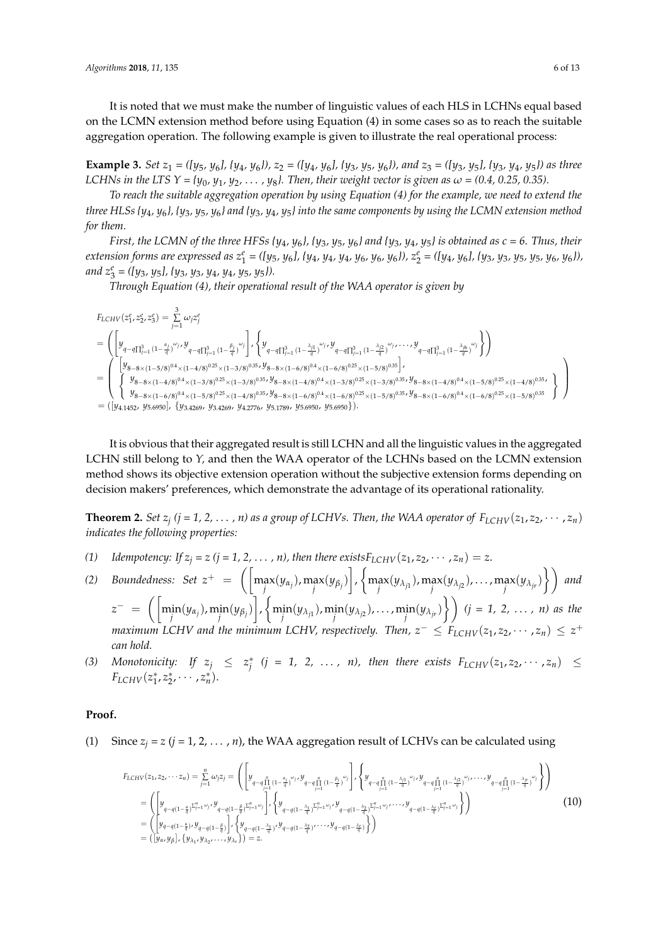It is noted that we must make the number of linguistic values of each HLS in LCHNs equal based on the LCMN extension method before using Equation (4) in some cases so as to reach the suitable aggregation operation. The following example is given to illustrate the real operational process:

**Example 3.** Set  $z_1 = ( [y_5, y_6], (y_4, y_6])$ ,  $z_2 = ( [y_4, y_6], (y_3, y_5, y_6])$ , and  $z_3 = ( [y_3, y_5], (y_3, y_4, y_5])$  as three *LCHNs in the LTS Y = {y<sub>0</sub>, y<sub>1</sub>, y<sub>2</sub>, ..., y<sub>8</sub>}. Then, their weight vector is given as*  $\omega$  *= (0.4, 0.25, 0.35).* 

*To reach the suitable aggregation operation by using Equation (4) for the example, we need to extend the three HLSs {y*4*, y*6*}, {y*3*, y*5*, y*6*} and {y*3*, y*4*, y*5*} into the same components by using the LCMN extension method for them.*

*First, the LCMN of the three HFSs {y*4*, y*6*}, {y*3*, y*5*, y*6*} and {y*3*, y*4*, y*5*} is obtained as c = 6. Thus, their* extension forms are expressed as  $z_1^e$  = ([y5, y<sub>6</sub>], {y<sub>4</sub>, y<sub>4</sub>, y<sub>4</sub>, y<sub>6</sub>, y<sub>6</sub>, y<sub>6</sub>}),  $z_2^e$  = ([y<sub>4</sub>, y<sub>6</sub>], {y<sub>3</sub>, y<sub>3</sub>, y<sub>5</sub>, y<sub>5</sub>, y<sub>6</sub>, y<sub>6</sub>}), *and z<sup>e</sup>* 3 *= ([y*3*, y*5*], {y*3*, y*3*, y*4*, y*4*, y*5*, y*5*}).*

*Through Equation (4), their operational result of the WAA operator is given by*

$$
\begin{split} &F_{LCHV}(z_1^e,z_2^e,z_3^e)=\sum_{j=1}^3\omega_jz_j^e\\ &=\left(\begin{bmatrix}y_{q-q\prod_{j=1}^3(1-\frac{s_j}{q})^{\omega_j}}y_{q-q\prod_{j=1}^3(1-\frac{\beta_j}{q})^{\omega_j}}\end{bmatrix},\begin{Bmatrix}y_{q-q\prod_{j=1}^3(1-\frac{\lambda_{j1}}{q})^{\omega_j}}y_{q-q\prod_{j=1}^3(1-\frac{\lambda_{j2}}{q})^{\omega_j}}\cdots y_{q-q\prod_{j=1}^3(1-\frac{\lambda_{j6}}{q})^{\omega_j}}\end{Bmatrix}\right)\\ &=\begin{pmatrix}y_{8-8\times(1-5/8)^{0.4}\times(1-4/8)^{0.25}\times(1-3/8)^{0.35}}y_{8-8\times(1-6/8)^{0.4}\times(1-6/8)^{0.25}\times(1-5/8)^{0.35}}\end{pmatrix},\\ &\begin{Bmatrix}y_{8-8\times(1-4/8)^{0.4}\times(1-3/8)^{0.25}\times(1-3/8)^{0.35}}y_{8-8\times(1-4/8)^{0.4}\times(1-6/8)^{0.25}\times(1-3/8)^{0.35}}y_{8-8\times(1-4/8)^{0.4}\times(1-5/8)^{0.35}}\end{Bmatrix},\\ &=\begin{Bmatrix}(y_{4.1452},y_{5.6950}],\ (y_{3.4269},y_{3.4269},y_{4.2776},y_{5.1789},y_{5.6950},y_{5.6950})\end{Bmatrix},\\ &=\begin{Bmatrix}(y_{4.1452},y_{5.6950}],\ (y_{3.4269},y_{3.4269},y_{4.2776},y_{5.1789},y_{5.6950},y_{5.6950})\end{Bmatrix}.\end{split}
$$

It is obvious that their aggregated result is still LCHN and all the linguistic values in the aggregated LCHN still belong to *Y,* and then the WAA operator of the LCHNs based on the LCMN extension method shows its objective extension operation without the subjective extension forms depending on decision makers' preferences, which demonstrate the advantage of its operational rationality.

**Theorem 2.** Set  $z_j$  ( $j = 1, 2, ..., n$ ) as a group of LCHVs. Then, the WAA operator of  $F_{LCHV}(z_1, z_2, ..., z_n)$ *indicates the following properties:*

- (1) *Idempotency: If*  $z_i = z$  ( $j = 1, 2, ..., n$ ), then there exists  $F_{LCHV}(z_1, z_2, ..., z_n) = z$ .
- (2) Boundedness: Set  $z^+ = \left( \left[ \max_j(y_{\alpha_j}), \max_j(y_{\beta_j}) \right], \left\{ \max_j(y_{\lambda_{j1}}), \max_j(y_{\lambda_{j2}}), \dots, \max_j(y_{\lambda_{jr}}) \right\} \right)$  and  $z^- = \left( \left[ \min_j(y_{\alpha_j}), \min_j(y_{\beta_j}) \right], \left\{ \min_j(y_{\lambda_{j1}}), \min_j(y_{\lambda_{j2}}), \dots, \min_j(y_{\lambda_{jr}}) \right\} \right)$   $(j = 1, 2, \dots, n)$  as the *maximum LCHV and the minimum LCHV, respectively. Then,*  $z^-$  $\leq$  $F_{LCHV}(z_1,z_2,\cdots,z_n)$  $\leq$  $z^+$ *can hold.*
- (3) Monotonicity: If  $z_j \le z_j^*$  (j = 1, 2, ..., *n*), then there exists  $F_{LCHV}(z_1, z_2, \dots, z_n) \le$  $F_{LCHV}(z_1^*, z_2^*, \cdots, z_n^*)$ .

#### **Proof.**

(1) Since  $z_j = z$  ( $j = 1, 2, ..., n$ ), the WAA aggregation result of LCHVs can be calculated using

$$
F_{LCHV}(z_1, z_2, \dots z_n) = \sum_{j=1}^n \omega_j z_j = \left( \left[ y_{q-q_1} \prod_{j=1}^n (1 - \frac{\alpha_j}{q})^{\omega_j} y_{q-q_1} \prod_{j=1}^n (1 - \frac{\beta_j}{q})^{\omega_j} \right] \cdot \left\{ y_{q-q_1} \prod_{j=1}^n (1 - \frac{\lambda_j}{q})^{\omega_j} y_{q-q_1} \prod_{j=1}^n (1 - \frac{\lambda_j}{q})^{\omega_j} \cdot y_{q-q_1} \prod_{j=1}^n (1 - \frac{\lambda_j}{q})^{\omega_j} \cdot y_{q-q_1} \prod_{j=1}^n (1 - \frac{\lambda_j}{q})^{\omega_j} \cdot y_{q-q_1} \prod_{j=1}^n (1 - \frac{\lambda_j}{q})^{\omega_j} \cdot y_{q-q_1} \prod_{j=1}^n (1 - \frac{\lambda_j}{q})^{\omega_j} \cdot y_{q-q_1} \cdot y_{q-q_1} \cdot y_{q-q_1} \cdot y_{q-q_1} \cdot y_{q-q_1} \cdot y_{q-q_1} \cdot y_{q-q_1} \cdot y_{q-q_1} \cdot y_{q-q_1} \cdot y_{q-q_1} \cdot y_{q-q_1} \cdot y_{q-q_1} \cdot y_{q-q_1} \cdot y_{q-q_1} \cdot y_{q-q_1} \cdot y_{q-q_1} \cdot y_{q-q_1} \cdot y_{q-q_1} \cdot y_{q-q_1} \cdot y_{q-q_1} \cdot y_{q-q_1} \cdot y_{q-q_1} \cdot y_{q-q_1} \cdot y_{q-q_1} \cdot y_{q-q_1} \cdot y_{q-q_1} \cdot y_{q-q_1} \cdot y_{q-q_1} \cdot y_{q-q_1} \cdot y_{q-q_1} \cdot y_{q-q_1} \cdot y_{q-q_1} \cdot y_{q-q_1} \cdot y_{q-q_1} \cdot y_{q-q_1} \cdot y_{q-q_1} \cdot y_{q-q_1} \cdot y_{q-q_1} \cdot y_{q-q_1} \cdot y_{q-q_1} \cdot y_{q-q_1} \cdot y_{q-q_1} \cdot y_{q-q_1} \cdot y_{q-q_1} \cdot y_{q-q_1} \cdot y_{q-q_1} \cdot y_{q-q_1} \cdot y_{q-q_1} \cdot y_{q-q_1} \cdot y_{
$$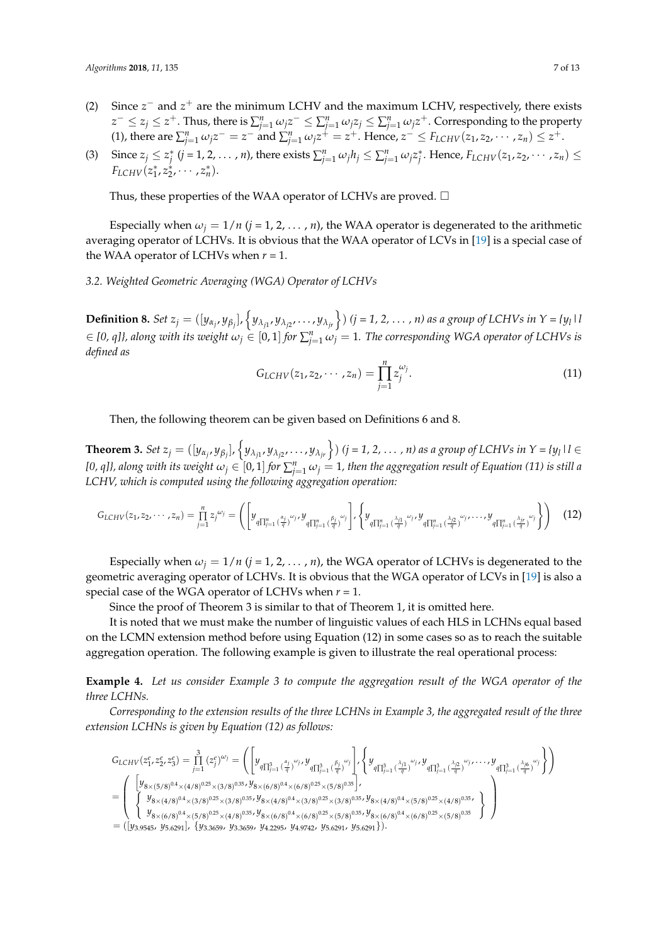- (2) Since  $z^-$  and  $z^+$  are the minimum LCHV and the maximum LCHV, respectively, there exists  $z^-\leq z_j\leq z^+ .$  Thus, there is  $\sum_{j=1}^n\omega_jz^-\leq\sum_{j=1}^n\omega_jz_j\leq\sum_{j=1}^n\omega_jz^+.$  Corresponding to the property (1), there are  $\sum_{j=1}^n \omega_j z^- = z^-$  and  $\sum_{j=1}^n \omega_j z^+ = z^+$ . Hence,  $z^- \leq F_{LCHV}(z_1, z_2, \dots, z_n) \leq z^+$ .
- (3) Since  $z_j \leq z_j^*$   $(j = 1, 2, ..., n)$ , there exists  $\sum_{j=1}^n \omega_j h_j \leq \sum_{j=1}^n \omega_j z_j^*$ . Hence,  $F_{LCHV}(z_1, z_2, ..., z_n) \leq$  $F_{LCHV}(z_1^*, z_2^*, \cdots, z_n^*).$

Thus, these properties of the WAA operator of LCHVs are proved.  $\Box$ 

Especially when  $\omega_j = 1/n$  (*j* = 1, 2, ..., *n*), the WAA operator is degenerated to the arithmetic averaging operator of LCHVs. It is obvious that the WAA operator of LCVs in [\[19\]](#page-12-2) is a special case of the WAA operator of LCHVs when  $r = 1$ .

*3.2. Weighted Geometric Averaging (WGA) Operator of LCHVs*

**Definition 8.** Set  $z_j = ([y_{\alpha_j}, y_{\beta_j}], \{y_{\lambda_{j1}}, y_{\lambda_{j2}}, \ldots, y_{\lambda_{jr}}\})$   $(j = 1, 2, \ldots, n)$  as a group of LCHVs in  $Y = \{y_i \mid l\}$  $\in$  [0, q]}, along with its weight  $\omega_j \in [0,1]$  for  $\sum_{j=1}^n \omega_j = 1$ . The corresponding WGA operator of LCHVs is *defined as*

$$
G_{LCHV}(z_1, z_2, \cdots, z_n) = \prod_{j=1}^n z_j^{\omega_j}.
$$
 (11)

Then, the following theorem can be given based on Definitions 6 and 8.

**Theorem 3.** Set  $z_j = ([y_{\alpha_j}, y_{\beta_j}], \{y_{\lambda_{j1}}, y_{\lambda_{j2}}, \ldots, y_{\lambda_{jr}}\})$   $(j = 1, 2, \ldots, n)$  as a group of LCHVs in  $Y = \{y_l | l \in I\}$ [0, q]}, along with its weight  $\omega_j\in[0,1]$  for  $\sum_{j=1}^n\omega_j=1$ , then the aggregation result of Equation (11) is still a *LCHV, which is computed using the following aggregation operation:*

$$
G_{LCHV}(z_1, z_2, \cdots, z_n) = \prod_{j=1}^n z_j^{\omega_j} = \left( \left[ y_{q\prod_{j=1}^n (\frac{\alpha_j}{q})^{\omega_j}} y_{q\prod_{j=1}^n (\frac{\beta_j}{q})^{\omega_j}} \right], \left\{ y_{q\prod_{j=1}^n (\frac{\lambda_{j1}}{q})^{\omega_j}} y_{q\prod_{j=1}^n (\frac{\lambda_{j2}}{q})^{\omega_j}} y_{q\prod_{j=1}^n (\frac{\lambda_{j2}}{q})^{\omega_j}} \right\} \right)
$$
(12)

Especially when  $\omega_j = 1/n$  (*j* = 1, 2, ..., *n*), the WGA operator of LCHVs is degenerated to the geometric averaging operator of LCHVs. It is obvious that the WGA operator of LCVs in [\[19\]](#page-12-2) is also a special case of the WGA operator of LCHVs when *r* = 1.

Since the proof of Theorem 3 is similar to that of Theorem 1, it is omitted here.

It is noted that we must make the number of linguistic values of each HLS in LCHNs equal based on the LCMN extension method before using Equation (12) in some cases so as to reach the suitable aggregation operation. The following example is given to illustrate the real operational process:

**Example 4.** *Let us consider Example 3 to compute the aggregation result of the WGA operator of the three LCHNs.*

*Corresponding to the extension results of the three LCHNs in Example 3, the aggregated result of the three extension LCHNs is given by Equation (12) as follows:*

$$
G_{LCHV}(z_1^e, z_2^e, z_3^e) = \prod_{j=1}^3 (z_j^e)^{\omega_j} = \left( \left[ y_{q\prod_{j=1}^3 (\frac{x_j}{q})}^{\omega_j} \cdot y_{q\prod_{j=1}^3 (\frac{\beta_j}{q})}^{\omega_j} \right] \cdot \left\{ y_{q\prod_{j=1}^3 (\frac{\lambda_{j1}}{q})}^{\omega_j} \cdot y_{q\prod_{j=1}^3 (\frac{\lambda_{j2}}{q})}^{\omega_j} \cdot y_{q\prod_{j=1}^3 (\frac{\lambda_{j2}}{q})}^{\omega_j} \cdot y_{q\prod_{j=1}^3 (\frac{\lambda_{j2}}{q})}^{\omega_j} \cdot y_{q\prod_{j=1}^3 (\frac{\lambda_{j2}}{q})}^{\omega_j} \cdot y_{q\prod_{j=1}^3 (\frac{\lambda_{j2}}{q})}^{\omega_j} \cdot y_{q\prod_{j=1}^3 (\frac{\lambda_{j2}}{q})}^{\omega_j} \cdot y_{q\prod_{j=1}^3 (\frac{\lambda_{j2}}{q})}^{\omega_j} \cdot y_{q\prod_{j=1}^3 (\frac{\lambda_{j2}}{q})}^{\omega_j} \cdot y_{q\prod_{j=1}^3 (\frac{\lambda_{j2}}{q})}^{\omega_j} \cdot y_{q\prod_{j=1}^3 (\frac{\lambda_{j2}}{q})}^{\omega_j} \cdot y_{q\prod_{j=1}^3 (\frac{\lambda_{j2}}{q})}^{\omega_j} \cdot y_{q\prod_{j=1}^3 (\frac{\lambda_{j2}}{q})}^{\omega_j} \cdot y_{q\prod_{j=1}^3 (\frac{\lambda_{j2}}{q})}^{\omega_j} \cdot y_{q\prod_{j=1}^3 (\frac{\lambda_{j2}}{q})}^{\omega_j} \cdot y_{q\prod_{j=1}^3 (\frac{\lambda_{j2}}{q})}^{\omega_j} \cdot y_{q\prod_{j=1}^3 (\frac{\lambda_{j2}}{q})}^{\omega_j} \cdot y_{q\prod_{j=1}^3 (\frac{\lambda_{j2}}{q})}^{\omega_j} \cdot y_{q\prod_{j=1}^3 (\frac{\lambda_{j2}}{q})}^{\omega_j} \cdot y_{q\prod_{j=1}^3 (\frac{\lambda_{j2}}{q})}^{\omega_j} \cdot y_{q\prod_{j=1}^3 (\frac{\lambda_{j2}}{q})}^{\omega
$$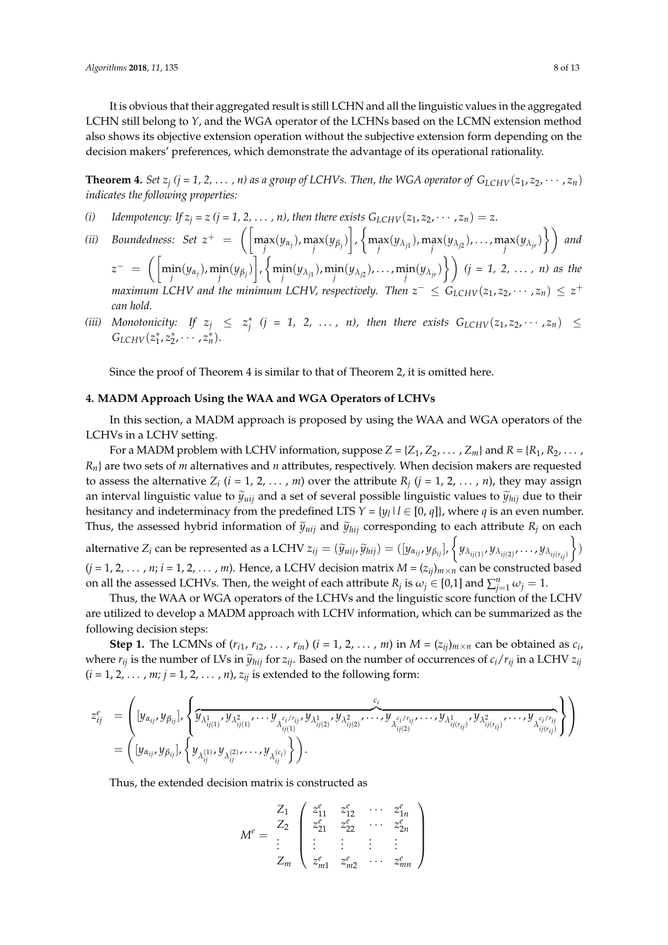It is obvious that their aggregated result is still LCHN and all the linguistic values in the aggregated LCHN still belong to *Y*, and the WGA operator of the LCHNs based on the LCMN extension method also shows its objective extension operation without the subjective extension form depending on the decision makers' preferences, which demonstrate the advantage of its operational rationality.

**Theorem 4.** Set  $z_j$  ( $j = 1, 2, ..., n$ ) as a group of LCHVs. Then, the WGA operator of  $G_{LCHV}(z_1, z_2, \dots, z_n)$ *indicates the following properties:*

- *(i) Idempotency: If*  $z_i = z$  *(j = 1, 2, ..., n), then there exists*  $G_{LCHV}(z_1, z_2, \dots, z_n) = z$ .
- (ii) Boundedness: Set  $z^+ = \left( \left[ \max_j(y_{\alpha_j}), \max_j(y_{\beta_j}) \right], \left\{ \max_j(y_{\lambda_{j1}}), \max_j(y_{\lambda_{j2}}), \dots, \max_j(y_{\lambda_{jr}}) \right\} \right)$  and  $z^- = \left( \left[ \min_j(y_{\alpha_j}), \min_j(y_{\beta_j}) \right], \left\{ \min_j(y_{\lambda_{j1}}), \min_j(y_{\lambda_{j2}}), \dots, \min_j(y_{\lambda_{jr}}) \right\} \right)$   $(j = 1, 2, \dots, n)$  as the *maximum LCHV and the minimum LCHV, respectively. Then*  $z^- \leq G_{LCHV}(z_1,z_2,\cdots,z_n) \leq z^+$ *can hold.*
- (*iii*) *Monotonicity:* If  $z_j \le z_j^*$  ( $j = 1, 2, ..., n$ ), then there exists  $G_{LCHV}(z_1, z_2, ..., z_n) \le$  $G_{LCHV}(z_1^*, z_2^*, \cdots, z_n^*).$

Since the proof of Theorem 4 is similar to that of Theorem 2, it is omitted here.

## <span id="page-7-0"></span>**4. MADM Approach Using the WAA and WGA Operators of LCHVs**

In this section, a MADM approach is proposed by using the WAA and WGA operators of the LCHVs in a LCHV setting.

For a MADM problem with LCHV information, suppose  $Z = \{Z_1, Z_2, \dots, Z_m\}$  and  $R = \{R_1, R_2, \dots, R_m\}$ *Rn*} are two sets of *m* alternatives and *n* attributes, respectively. When decision makers are requested to assess the alternative  $Z_i$  ( $i = 1, 2, ..., m$ ) over the attribute  $R_j$  ( $j = 1, 2, ..., n$ ), they may assign an interval linguistic value to  $\tilde{y}_{uij}$  and a set of several possible linguistic values to  $\tilde{y}_{hij}$  due to their hesitancy and indeterminacy from the predefined LTS  $Y = \{y_l | l \in [0, q]\}$ , where *q* is an even number. Thus, the assessed hybrid information of  $\tilde{y}_{uij}$  and  $\tilde{y}_{hij}$  corresponding to each attribute  $R_j$  on each  $\}$ 

alternative  $Z_i$  can be represented as a LCHV  $z_{ij}=(\widetilde{y}_{uij},\widetilde{y}_{hij})=([y_{\alpha_{ij}},y_{\beta_{ij}}],\bigg\{y_{\lambda_{ij(1)}},y_{\lambda_{ij(2)}},\ldots,y_{\lambda_{ij(r_{ij})}}\bigg\}$  $(j = 1, 2, \ldots, n; i = 1, 2, \ldots, m)$ . Hence, a LCHV decision matrix  $M = (z_{ij})_{m \times n}$  can be constructed based on all the assessed LCHVs. Then, the weight of each attribute  $R_j$  is  $\omega_j \in [0,1]$  and  $\sum_{j=1}^n \omega_j = 1$ .

Thus, the WAA or WGA operators of the LCHVs and the linguistic score function of the LCHV are utilized to develop a MADM approach with LCHV information, which can be summarized as the following decision steps:

**Step 1.** The LCMNs of  $(r_{i1}, r_{i2}, \ldots, r_{in})$   $(i = 1, 2, \ldots, m)$  in  $M = (z_{ij})_{m \times n}$  can be obtained as  $c_i$ , where  $r_{ij}$  is the number of LVs in  $\tilde{y}_{hij}$  for  $z_{ji}$ . Based on the number of occurrences of  $c_i/r_{ij}$  in a LCHV  $z_{ij}$  $(i = 1, 2, \ldots, m; j = 1, 2, \ldots, n$ ,  $z_{ij}$  is extended to the following form:

*z e ij* = [*yαij* , *<sup>y</sup>βij* ], *ci* z }| { *yλ* 1 *ij*(1) , *y<sup>λ</sup>* 2 *ij*(1) , . . . *y λ c i* /*r ij ij*(1) , *y<sup>λ</sup>* 1 *ij*(2) , *y<sup>λ</sup>* 2 *ij*(2) , . . . , *y λ c i* /*r ij ij*(2) , . . . , *y<sup>λ</sup>* 1 *ij*(*r ij*) , *y<sup>λ</sup>* 2 *ij*(*r ij*) , . . . , *y λ c i* /*r ij ij*(*r ij*) = [*yαij* , *yβij* ], *y λ* (1) *ij* , *y λ* (2) *ij* , . . . , *y λ* (*c i* ) *ij* .

Thus, the extended decision matrix is constructed as

$$
M^{e} = \begin{bmatrix} Z_{1} & z_{11}^{e} & z_{12}^{e} & \cdots & z_{1n}^{e} \\ Z_{2} & z_{21}^{e} & z_{22}^{e} & \cdots & z_{2n}^{e} \\ \vdots & \vdots & \vdots & \vdots & \vdots \\ z_{m1}^{e} & z_{m2}^{e} & \cdots & z_{mn}^{e} \end{bmatrix}
$$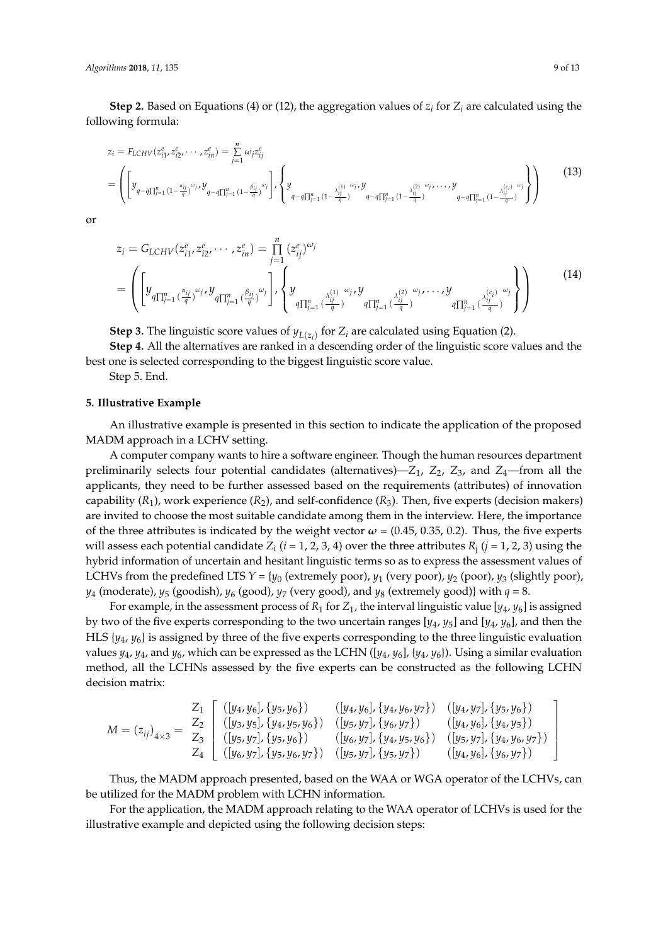**Step 2.** Based on Equations (4) or (12), the aggregation values of  $z_i$  for  $Z_i$  are calculated using the following formula:

$$
z_{i} = F_{LCHV}(z_{i1}^{e}, z_{i2}^{e}, \cdots, z_{in}^{e}) = \sum_{j=1}^{n} \omega_{j} z_{ij}^{e}
$$
\n
$$
= \left( \left[ y_{q-q\prod_{j=1}^{n} (1-\frac{\alpha_{ij}}{q})^{\omega_{j}}, y_{q-q\prod_{j=1}^{n} (1-\frac{\beta_{ij}}{q})^{\omega_{j}}} \right], \left\{ y_{q-q\prod_{j=1}^{n} (1-\frac{\lambda_{ij}^{(1)}}{q})^{\omega_{j}}, y_{q-q\prod_{j=1}^{n} (1-\frac{\lambda_{ij}^{(2)}}{q})^{\omega_{j}}, \cdots, y_{q-q\prod_{j=1}^{n} (1-\frac{\lambda_{ij}^{(2)}}{q})^{\omega_{j}}} \right\} \right)
$$
\n
$$
(13)
$$

or

$$
z_{i} = G_{LCHV}(z_{i1}^{e}, z_{i2}^{e}, \cdots, z_{in}^{e}) = \prod_{j=1}^{n} (z_{ij}^{e})^{\omega_{j}}
$$
  
= 
$$
\left( \left[ y_{q\prod_{j=1}^{n} (\frac{\alpha_{ij}}{q})^{\omega_{j}} y_{q\prod_{j=1}^{n} (\frac{\beta_{ij}}{q})^{\omega_{j}}} \right], \left\{ y_{q\prod_{j=1}^{n} (\frac{\lambda_{ij}^{(1)}}{q})^{\omega_{j}} y_{q\prod_{j=1}^{n} (\frac{\lambda_{ij}^{(2)}}{q})^{\omega_{j}}}, \cdots, y_{q\prod_{j=1}^{n} (\frac{\lambda_{ij}^{(c_{i})}}{q})^{\omega_{j}}} \right) \right)
$$
(14)

**Step 3.** The linguistic score values of  $y_{L(z_i)}$  for  $Z_i$  are calculated using Equation (2).

**Step 4.** All the alternatives are ranked in a descending order of the linguistic score values and the best one is selected corresponding to the biggest linguistic score value.

Step 5. End.

#### <span id="page-8-0"></span>**5. Illustrative Example**

An illustrative example is presented in this section to indicate the application of the proposed MADM approach in a LCHV setting.

A computer company wants to hire a software engineer. Though the human resources department preliminarily selects four potential candidates (alternatives)— $Z_1$ ,  $Z_2$ ,  $Z_3$ , and  $Z_4$ —from all the applicants, they need to be further assessed based on the requirements (attributes) of innovation capability  $(R_1)$ , work experience  $(R_2)$ , and self-confidence  $(R_3)$ . Then, five experts (decision makers) are invited to choose the most suitable candidate among them in the interview. Here, the importance of the three attributes is indicated by the weight vector  $\omega = (0.45, 0.35, 0.2)$ . Thus, the five experts will assess each potential candidate  $Z_i$  ( $i = 1, 2, 3, 4$ ) over the three attributes  $R_j$  ( $j = 1, 2, 3$ ) using the hybrid information of uncertain and hesitant linguistic terms so as to express the assessment values of LCHVs from the predefined LTS  $Y = \{y_0 \text{ (extremely poor)}\}$ ,  $y_1 \text{ (very poor)}$ ,  $y_2 \text{ (poor)}$ ,  $y_3 \text{ (slightly poor)}$ ,  $y_4$  (moderate),  $y_5$  (goodish),  $y_6$  (good),  $y_7$  (very good), and  $y_8$  (extremely good)} with  $q = 8$ .

For example, in the assessment process of  $R_1$  for  $Z_1$ , the interval linguistic value [ $y_4$ ,  $y_6$ ] is assigned by two of the five experts corresponding to the two uncertain ranges [*y*4, *y*5] and [*y*4, *y*6], and then the HLS {*y*4, *y*6} is assigned by three of the five experts corresponding to the three linguistic evaluation values  $y_4$ ,  $y_4$ , and  $y_6$ , which can be expressed as the LCHN ( $[y_4, y_6]$ ,  $[y_4, y_6]$ ). Using a similar evaluation method, all the LCHNs assessed by the five experts can be constructed as the following LCHN decision matrix:

$$
M = (z_{ij})_{4 \times 3} = \begin{bmatrix} Z_1 \\ Z_2 \\ Z_3 \\ Z_4 \end{bmatrix} \begin{bmatrix} ([y_4, y_6], \{y_5, y_6\}) & ([y_4, y_6], \{y_4, y_6, y_7\}) & ([y_4, y_7], \{y_5, y_6\}) \\ ([y_3, y_5], \{y_4, y_5, y_6\}) & ([y_5, y_7], \{y_6, y_7\}) & ([y_4, y_6], \{y_4, y_5\}) \\ ([y_5, y_7], \{y_5, y_6\}) & ([y_6, y_7], \{y_4, y_5, y_6\}) & ([y_5, y_7], \{y_4, y_6\}, \{y_4, y_6, y_7\}) \\ ([y_6, y_7], \{y_5, y_6, y_7\}) & ([y_5, y_7], \{y_5, y_7\}) & ([y_4, y_6], \{y_6, y_7\}) \end{bmatrix}
$$

 $\overline{a}$ 

Thus, the MADM approach presented, based on the WAA or WGA operator of the LCHVs, can be utilized for the MADM problem with LCHN information.

For the application, the MADM approach relating to the WAA operator of LCHVs is used for the illustrative example and depicted using the following decision steps: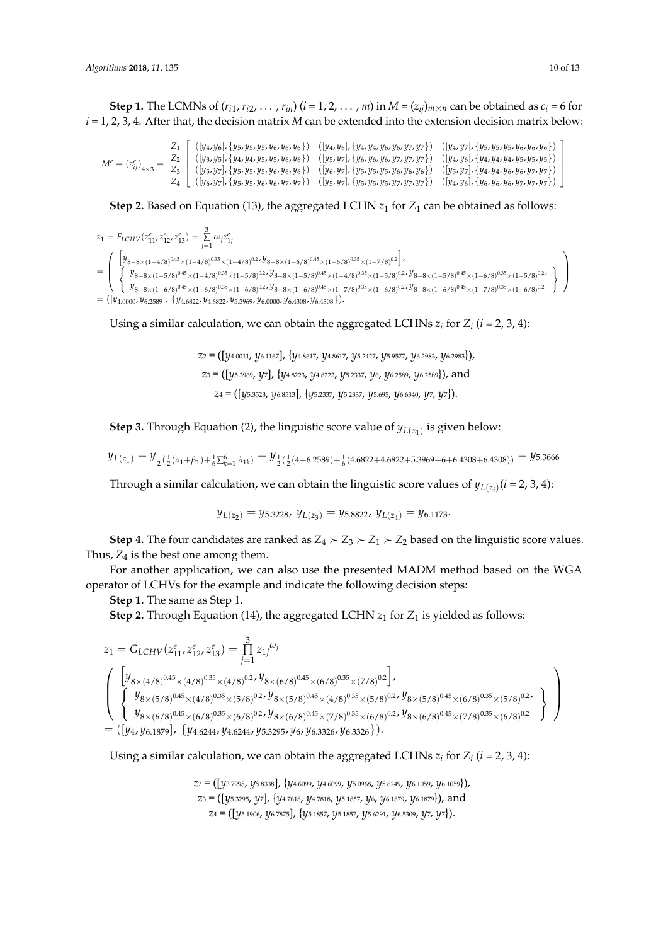**Step 1.** The LCMNs of  $(r_{i1}, r_{i2}, \ldots, r_{in})$   $(i = 1, 2, \ldots, m)$  in  $M = (z_{ij})_{m \times n}$  can be obtained as  $c_i = 6$  for *i* = 1, 2, 3, 4. After that, the decision matrix *M* can be extended into the extension decision matrix below: *Z yy yyyyyy yy yyyyyy yy yyyyyy*

 $M^e = (z^e_{ij})^4_{4\times3} =$ *Z*<sup>1</sup> *Z*<sup>2</sup> *Z*<sup>3</sup> *Z*<sup>4</sup> T  $([y_4, y_6], \{y_5, y_5, y_5, y_6, y_6, y_6\}) \quad ([y_4, y_6], \{y_4, y_4, y_6, y_6, y_7, y_7\}) \quad ([y_4, y_7], \{y_5, y_5, y_5, y_6, y_6, y_6\})$  $([y_3, y_5], \{y_4, y_4, y_5, y_5, y_6, y_6\}) \quad ([y_5, y_7], \{y_6, y_6, y_6, y_7, y_7, y_7\}) \quad ([y_4, y_6], \{y_4, y_4, y_4, y_5, y_5, y_5\})$  $([y_5, y_7], {y_5, y_5, y_5, y_6, y_6, y_6}) \quad ([y_6, y_7], {y_5, y_5, y_5, y_6, y_6, y_6}) \quad ([y_5, y_7], {y_4, y_4, y_6, y_6, y_7, y_7})$  $([y_6, y_7], {y_5, y_5, y_6, y_6, y_7, y_7}) \quad ([y_5, y_7], {y_5, y_5, y_5, y_7, y_7, y_7}) \quad ([y_4, y_6], {y_6, y_6, y_6, y_7, y_7, y_7})$ T  $([y_4, y_6], \{y_5, y_5, y_5, y_6, y_6, y_6\})$   $([y_4, y_6], \{y_4, y_4, y_6, y_6, y_7, y_7\})$   $([y_4, y_7], \{y_5, y_5, y_5, y_6, y_7, y_8\})$  $Z_1 = (\lfloor y_4, y_6 \rfloor, \{ y_5, y_5, y_5, y_6, y_6, y_6, y_6 \} ) \quad (\lfloor y_4, y_6 \rfloor, \{ y_4, y_4, y_6, y_7, y_7 \} ) \quad (\lfloor y_4, y_7 \rfloor, \{ y_5, y_5, y_6, y_6 \} ) \nonumber \ \zeta_2 = (\lfloor y_3, y_5 \rfloor, \{ y_4, y_4, y_5, y_5, y_6, y_6 \} ) \quad (\lfloor y_5, y_7 \rfloor, \{ y_6, y_6, y_6, y_7, y_7, y_7 \$  $\begin{bmatrix} Z_1 \ (y_4, y_6), \{y_5, y_5, y_6, y_6, y_6\} \ (y_4, y_4, y_6, y_6, y_7, y_7) \end{bmatrix} \ \begin{bmatrix} (y_4, y_6), \{y_3, y_5, y_6, y_7, y_7\} \ (y_3, y_5), \{y_4, y_4, y_5, y_5, y_6, y_6\} \ (y_5, y_7), \{y_6, y_6, y_6, y_7, y_7, y_7\} \ \end{bmatrix}$ *Z*  $Z_1 = \frac{1}{2} \left[ \frac{(\frac{1}{2} \cdot \frac{1}{2} \cdot \frac{1}{2} \cdot \frac{1}{2} \cdot \frac{1}{2} \cdot \frac{1}{2} \cdot \frac{1}{2} \cdot \frac{1}{2} \cdot \frac{1}{2} \cdot \frac{1}{2} \cdot \frac{1}{2} \cdot \frac{1}{2} \cdot \frac{1}{2} \cdot \frac{1}{2} \cdot \frac{1}{2} \cdot \frac{1}{2} \cdot \frac{1}{2} \cdot \frac{1}{2} \cdot \frac{1}{2} \cdot \frac{1}{2} \cdot \frac{1}{2} \cdot \frac{1}{2} \cdot \frac{1}{$ ( )( )( ) 95 / 967 947 947 96 95 / 977 977 977 977 977 977 978 977 977 974 974 975 97  $f(\mathcal{A})$  57  $f(\mathcal{A})$  57  $f(\mathcal{A})$  57  $f(\mathcal{A})$  57  $f(\mathcal{A})$  67  $f(\mathcal{A})$  67  $f(\mathcal{A})$  67  $f(\mathcal{A})$  67  $f(\mathcal{A})$  67  $f(\mathcal{A})$  67  $f(\mathcal{A})$  67  $f(\mathcal{A})$  67  $f(\mathcal{A})$  67  $f(\mathcal{A})$  67  $f(\mathcal{A})$  67  $f(\mathcal{A})$  67  $f(\mathcal{A})$  67 , , , } [ , ],{ , , , , , } [ , ],{ , , , , , } [ , ],{ , , , , , } [ , ],{ , , , , , } [ , ],{ , , , , , }  $(y_5, y_5, y_6, y_6)$   $(y_5, y_7)$ ,  $\{y_6, y_6, y_6, y_7, y_7, y_7\}$   $(y_4, y_6)$ ,  $\{y_4, y_4, y_4, y_6\}$ *yy yyyyyy yy yyyyyy yy yyyyyy*

**Step 2.** Based on Equation (13), the aggregated LCHN  $z_1$  for  $Z_1$  can be obtained as follows:

 $z_1 = F_{LCHV}(z_{11}^e, z_{12}^e, z_{13}^e) = \sum_{j=1}^3 \omega_j z_{1j}^e$ =  $\sqrt{ }$  $\overline{ }$  $\left[y_{8-8\times(1-4/8)^{0.45}\times(1-4/8)^{0.35}\times(1-4/8)^{0.2}}y_{8-8\times(1-6/8)^{0.45}\times(1-6/8)^{0.35}\times(1-7/8)^{0.2}}\right]$  $\int~ y_{8-8\times(1-5/8)^{0.45}\times(1-4/8)^{0.35}\times(1-5/8)^{0.2}}$ , <sup>*y*</sup><sub>8−8×(1−5/8)<sup>0.45</sup>×(1−4/8)<sup>0.35</sup>×(1−5/8)<sup>0.2</sup><sup>,</sup> *y*<sub>8−8×(1−5/8)<sup>0.45</sup>×(1−6/8)<sup>0.35</sup>×(1−5/8)<sup>0.2</sup>,</sub></sub>  $\left. \begin{array}{l} y_{8-8\times(1-5/8)^{0.45}\times(1-4/8)^{0.35}\times(1-5/8)^{0.2} \prime} y_{8-8\times(1-5/8)^{0.45}\times(1-4/8)^{0.35}\times(1-5/8)^{0.2} \prime} y_{8-8\times(1-5/8)^{0.45}\times(1-6/8)^{0.35}\times(1-5/8)^{0.2} \prime} \end{array} \right\} \nonumber \\ \left. y_{8-8\times(1-6/8)^{0.45}\times(1-6/8)^{0.35}\times(1-6/8)^{0$  $\setminus$  $\Big\}$ = ([*y*4.0000, *y*6.2589], {*y*4.6822, *y*4.6822, *y*5.3969, *y*6.0000, *y*6.4308, *y*6.4308}). 0.45 0.35 0.2 0.45 0.35 0.2  $(1-4/8)^{0.35}$   $\times$   $(1-5/8)^{0.2}$   $\cdot$   $\frac{9}{8-8}$   $\times$   $(1-5/8)^{0.45}$   $\times$   $(1-4/8)^{0.35}$   $\times$   $(1-5/8)^{0.35}$  $\sigma(z^e, z^e, z^e) = \frac{3}{\Gamma} \omega z^e$  $8.80145$  (1  $(10.85)(135)$  (1  $(10.8012)$   $V_0$  6 (1  $(10.80135)$  (1  $(10.80135)$  (1  $\pi$ )  $(1-5/8)^{0.43} \times (1-4/8)^{0.33} \times (1-5/8)^{0.27}$   $/$   $/$   $8-8\times(1-5/8)^{0.43} \times (1-4/8)^{0.33} \times (1-5/8)^{0.45}$  $\mathcal{L}(\mathcal{L}) = \mathcal{L}(\mathcal{L})$ , , ,  $\tau^e$   $\tau^e$  ) =  $\sum_{i=1}^{3} \omega_i \tau^e$ *z F zzz z y y*  $(1-5/8)^{0.45}$  ×  $(1-4/8)^{0.35}$  ×  $(1-5/8)^{0.2}$   $\mathcal{Y}_{8}$  $\frac{1}{20}$   $\frac{145}{25}$   $\frac{1}{20}$   $\frac{1}{25}$   $\frac{1}{25}$   $\frac{1}{25}$   $\frac{1}{25}$   $\frac{1}{25}$   $\frac{1}{25}$   $\frac{1}{25}$   $\frac{1}{25}$   $\frac{1}{25}$   $\frac{1}{25}$   $\frac{1}{25}$   $\frac{1}{25}$   $\frac{1}{25}$   $\frac{1}{25}$   $\frac{1}{25}$   $\frac{1}{25}$   $\frac{1}{25}$  $(-5/8)^{0.45} \times (1-4/8)^{0.55} \times (1-5/8)^{0.27}$  78 $-8 \times (1-5/8)^{0.45} \times (1-4/8)^{0.55} \times (1-4/8)^{0.55}$ = =  $j=1$ <br> $(1-4/8)^{0.45} \times (1-4/8)^{0.35} \times (1-4/8)^{0.2} \times J_{8-8} \times (1-6/8)^{0.45} \times (1-6/8)^{0.35} \times (1-7/8)^{0.2}$  $\frac{1}{2}$  $-5/8$  $(1-6/8)$  $^{0.35}$   $\times$  (1  $(1-0.0)$   $(1-0.0)$   $(1-0.0)$   $(0-0.0)$   $(1-0.0)$   $(1-1.0)$   $(1-0.0)$   $(0-0.0)$   $(1-0.0)$   $(1-1.0)$   $(1-1.0)$  $3.778 - 8 \times (1 - 5/8)^{0.45} \times (1 - 6/8)^{0.35}$  $8.8$  (1  $6.8$  ) (1  $1.8$ ) (1  $1.8$ ) (1  $1.8$ ) (1  $1.8$ ) (1  $1.8$ ) (1  $1.8$ ) (1  $1.8$ ) (1  $1.8$ ) (1  $1.8$ ) (1  $1.8$ ) (1  $1.8$ ) (1  $1.8$ ) (1  $1.8$ ) (1  $1.8$ ) (1  $1.8$ ) (1  $1.8$ ) (1  $1.8$ ) (1  $1.8$ ) (1  $1.8$ ) (1  $1.8$ ) (1  $(0.2, y_{8-8\times(1-5/8)}^{0.45\times(1-6/8)})^{0.35\times(1-6/8)}$ , , *y*  $\left( \frac{1}{2} \right)$  $(3-8\times(1-6/8)^{0.45}\times(1-7/8)^{0.35}\times(1-6/8)^{0.2}$  $28-8\times(1-5/8)^{0.45}\times(1-6/8)$  $\times (1-4/8)^{0.45} \times (1-4/8)^{0.35} \times (1-4/8)^{0.2}$ ,  $\frac{1}{2}$ <br>
−8×(1−5/8)<sup>0.45</sup>×(1−4/8)<sup>0.35</sup>×(1−5/8)<sup>0.24</sup>,  $\frac{1}{2}$  −5×(1−6/8)<sup>0.45</sup>×(1−6/8)<sup>0.35</sup>×(1−7/8)<sup>0.25</sup>,  $\frac{1}{2}$ <br>
−8×(1−6/8)<sup>0.45</sup>×(1−4/8)<sup>0.35</sup>×(1−5/8)<sup>0.24</sup>,  $\$ 

Using a similar calculation, we can obtain the aggregated LCHNs  $z_i$  for  $Z_i$  ( $i = 2, 3, 4$ ):

*z*2 = ([*y*4.0011, *y*6.1167], {*y*4.8617, *y*4.8617, *y*5.2427, *y*5.9577, *y*6.2983, *y*6.2983}), *z*3 = ([*y*5.3969, *y*7], {*y*4.8223, *y*4.8223, *y*5.2337, *y*6, *y*6.2589, *y*6.2589}), and *z*4 = ([*y*5.3523, *y*6.8513], {*y*5.2337, *y*5.2337, *y*5.695, *y*6.6340, *y*7, *y*7}).

**Step 3.** Through Equation (2), the linguistic score value of <sup>1</sup> *<sup>L</sup>*( ) *<sup>z</sup> y* is given below: **Step 3.** Through Equation (2), the linguistic score value of  $y_{L(z_1)}$  is given below:

 $y_{L(z_1)} = y_{\frac{1}{2}(\frac{1}{2}(\alpha_1+\beta_1)+\frac{1}{6}\sum_{k=1}^{6}\lambda_{1k})} = y_{\frac{1}{2}(\frac{1}{2}(4+6.2589)+\frac{1}{6}(4.6822+4.6822+5.3969+6+6.4308+6.4308))} = y_{5.3666}$ 

Through a similar calculation, we can obtain the linguistic score values of  $y_{L(z_i)}$  (*i* = 2, 3, 4):

$$
y_{L(z_2)} = y_{5.3228}, y_{L(z_3)} = y_{5.8822}, y_{L(z_4)} = y_{6.1173}.
$$

**Step 4.** The four candidates are ranked as  $Z_4 \succ Z_3 \succ Z_1 \succ Z_2$  based on the linguistic score values. Thus,  $Z_4$  is the best one among them.

For another application, we can also use the presented MADM method based on the WGA operator of LCHVs for the example and indicate the following decision steps:

**Step 1.** The same as Step 1.

**Step 2.** Through Equation (14), the aggregated LCHN  $z_1$  for  $Z_1$  is yielded as follows:

$$
z_{1} = G_{LCHV}(z_{11}^{e}, z_{12}^{e}, z_{13}^{e}) = \prod_{j=1}^{3} z_{1j}^{\omega_{j}}
$$
\n
$$
\begin{pmatrix}\n[y_{8 \times (4/8)^{0.45} \times (4/8)^{0.35} \times (4/8)^{0.25} \times (4/8)^{0.25} \times (6/8)^{0.45} \times (6/8)^{0.35} \times (7/8)^{0.2}}] \\
y_{8 \times (5/8)^{0.45} \times (4/8)^{0.35} \times (5/8)^{0.25} \times (5/8)^{0.45} \times (4/8)^{0.35} \times (5/8)^{0.25} \times (5/8)^{0.45} \times (6/8)^{0.35} \times (6/8)^{0.35} \times (6/8)^{0.35} \times (6/8)^{0.45} \times (7/8)^{0.35} \times (6/8)^{0.45} \times (7/8)^{0.35} \times (6/8)^{0.45} \times (7/8)^{0.35} \times (6/8)^{0.45} \times (7/8)^{0.35} \times (6/8)^{0.45} \times (7/8)^{0.35} \times (6/8)^{0.45} \times (7/8)^{0.35} \times (6/8)^{0.45} \times (7/8)^{0.45} \times (7/8)^{0.45} \times (7/8)^{0.45} \times (7/8)^{0.45} \times (7/8)^{0.45} \times (7/8)^{0.45} \times (7/8)^{0.45} \times (7/8)^{0.45} \times (7/8)^{0.45} \times (7/8)^{0.45} \times (7/8)^{0.45} \times (7/8)^{0.45} \times (7/8)^{0.45} \times (7/8)^{0.45} \times (7/8)^{0.45} \times (7/8)^{0.45} \times (7/8)^{0.45} \times (7/8)^{0.45} \times (7/8)^{0.45} \times (7/8)^{0.45} \times (7/8)^{0.45} \times (7/8)^{0.45} \times (7/
$$

Using a similar calculation, we can obtain the aggregated LCHNs  $z_i$  for  $Z_i$  ( $i = 2, 3, 4$ ):

*z*2 = ([*y*3.7998, *y*5.8338], {*y*4.6099, *y*4.6099, *y*5.0968, *y*5.6249, *y*6.1059, *y*6.1059}), *z*3 = ([*y*5.3295, *y*7], {*y*4.7818, *y*4.7818, *y*5.1857, *y*6, *y*6.1879, *y*6.1879}), and *z*4 = ([*y*5.1906, *y*6.7875], {*y*5.1857, *y*5.1857, *y*5.6291, *y*6.5309, *y*7, *y*7}).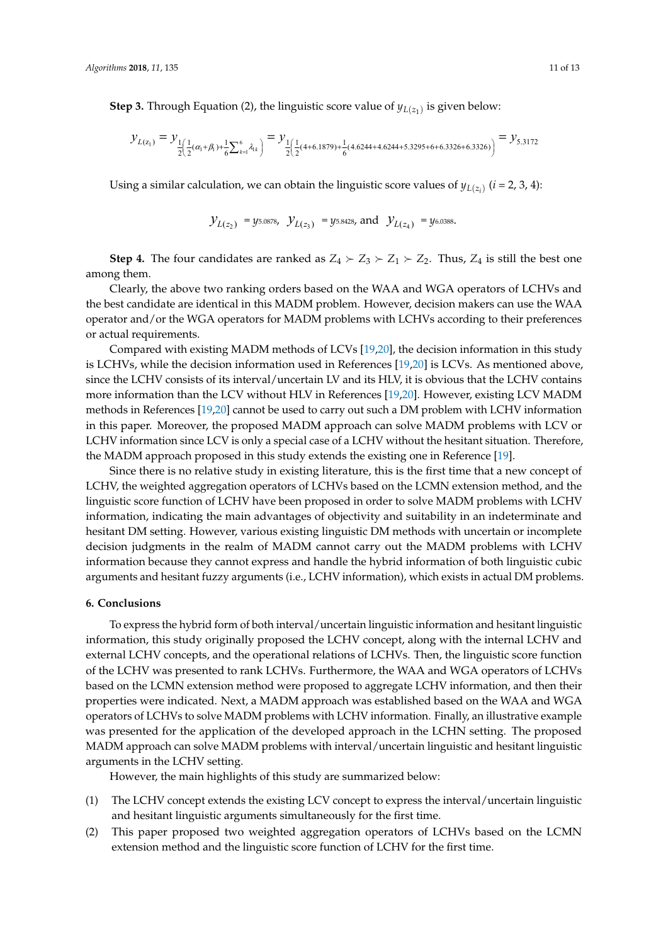**Step 3.** Through Equation (2), the linguistic score value of  $y_{L(z_1)}$  is given below: **Step 3.** Through Equation (2), the linguistic score value of <sup>1</sup> *<sup>L</sup>*( ) *<sup>z</sup> y* is given below:

$$
y_{L(z_1)} = y_{\frac{1}{2}(\frac{1}{2}(\alpha_1 + \beta_1) + \frac{1}{6}\sum_{k=1}^6 \lambda_k)} = y_{\frac{1}{2}(\frac{1}{2}(4+6.1879) + \frac{1}{6}(4.6244 + 4.6244 + 5.3295 + 6 + 6.3326 + 6.3326)} = y_{5.3172}
$$

Using a similar calculation, we can obtain the linguistic score values of  $y_{L(z_i)}$  (*i* = 2, 3, 4):

$$
\mathcal{Y}_{L(z_2)} = y_{5.0878}
$$
,  $\mathcal{Y}_{L(z_3)} = y_{5.8428}$ , and  $\mathcal{Y}_{L(z_4)} = y_{6.0388}$ .

**Step 4.** The four candidates are ranked as  $Z_4 \succ Z_3 \succ Z_1 \succ Z_2$ . Thus,  $Z_4$  is still the best one the best candidate are identical in this MADM problem. However, decision makers can use the makers can use the  $\alpha$ **Step 4.** The four candidates are ranked as  $Z_4 \succ Z_3 \succ Z_1 \succ Z_2$ . Thus,  $Z_4$  is still the best one as the set

Clearly, the above two ranking orders based on the WAA and WGA operators of LCHVs and the best candidate are identical in this MADM problem. However, decision makers can use the WAA operator and/or the WGA operators for MADM problems with LCHVs according to their preferences or actual requirements.  $\mathcal{L}$  is  $\mathcal{L}$  is a mention used in References and  $\mathcal{L}$  is  $\mathcal{L}$  is  $\mathcal{L}$  is  $\mathcal{L}$  is a mentioned in Reference and  $\mathcal{L}$  is a mentioned in Reference and  $\mathcal{L}$  is a mentioned operator and/or the WGA operators for MADM problems with LCHVs according to their preferences<br>an actual maximum onto

Compared with existing MADM methods of LCVs [\[19](#page-12-2)[,20\]](#page-12-3), the decision information in this study is LCHVs, while the decision information used in References [\[19](#page-12-2)[,20\]](#page-12-3) is LCVs. As mentioned above, since the LCHV consists of its interval/uncertain LV and its HLV, it is obvious that the LCHV contains more information than the LCV without HLV in References [\[19,](#page-12-2)[20\]](#page-12-3). However, existing LCV MADM methods in References [\[19](#page-12-2)[,20\]](#page-12-3) cannot be used to carry out such a DM problem with LCHV information in this paper. Moreover, the proposed MADM approach can solve MADM problems with LCV or ICHV information since LCV is only a special case of a LCHV without the hesitant situation. Therefore, ESITY INDENTIFICATIVE EVIDENT CHOCK CONCEPT OF THE FIRST THE FIRST THE FIRST THE FIRST THE FIRST THE MADM approach proposed in this study extends the existing one in Reference [\[19\]](#page-12-2).

Since there is no relative study in existing literature, this is the first time that a new concept of LCHV, the weighted aggregation operators of LCHVs based on the LCMN extension method, and the linguistic score function of LCHV have been proposed in order to solve MADM problems with LCHV information, indicating the main advantages of objectivity and suitability in an indeterminate and hesitant DM setting. However, various existing linguistic DM methods with uncertain or incomplete decision judgments in the realm of MADM cannot carry out the MADM problems with LCHV information because they cannot express and handle the hybrid information of both linguistic cubic arguments and hesitant fuzzy arguments (i.e., LCHV information), which exists in actual DM problems arguments and hesitant fuzzy arguments (i.e., LCHV information), which exists in actual DM problems.

#### <span id="page-10-0"></span>**6. Conclusions 6. Conclusions**

To express the hybrid form of both interval/uncertain linguistic information and hesitant To express the hybrid form of both interval/uncertain linguistic information and hesitant linguistic information, this study originally proposed the LCHV concept, along with the internal LCHV and external LCHV concepts, and the operational relations of LCHVs. Then, the linguistic score function of the LCHV was presented to rank LCHVs. Furthermore, the WAA and WGA operators of LCHVs based on the LCMN extension method were proposed to aggregate LCHV information, and then their properties were indicated. Next, a MADM approach was established based on the WAA and WGA operators of LCHVs to solve MADM problems with LCHV information. Finally, an illustrative example was presented for the application of the developed approach in the LCHN setting. The proposed MADM approach can solve MADM problems with interval/uncertain linguistic and hesitant linguistic arguments in the LCHV setting.

However, the main highlights of this study are summarized below:

- (1) The LCHV concept extends the existing LCV concept to express the interval/uncertain linguistic and hesitant linguistic arguments simultaneously for the first time.
- (2) This paper proposed two weighted aggregation operators of LCHVs based on the LCMN extension method and the linguistic score function of LCHV for the first time.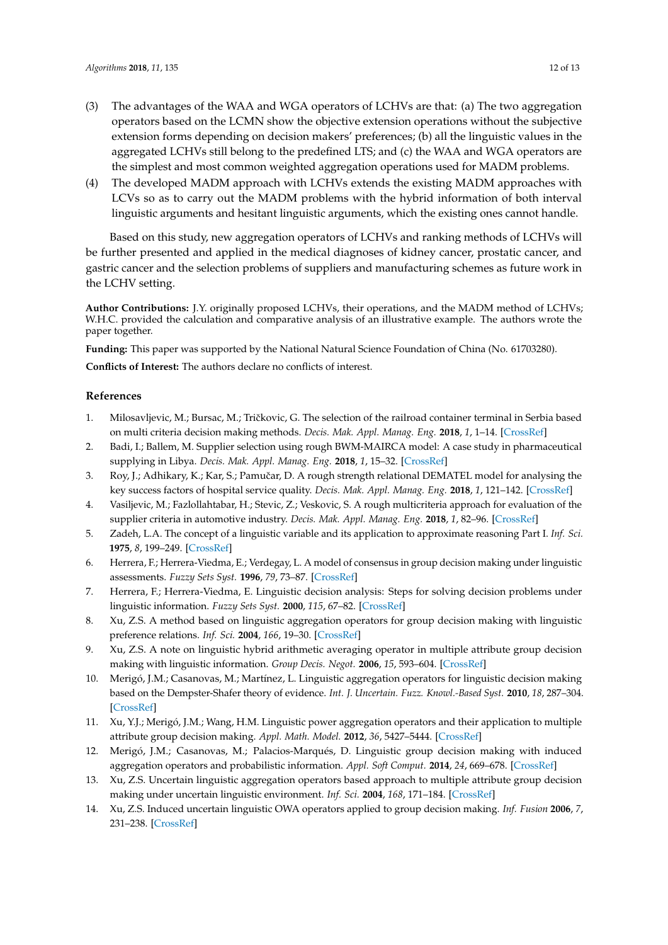- (3) The advantages of the WAA and WGA operators of LCHVs are that: (a) The two aggregation operators based on the LCMN show the objective extension operations without the subjective extension forms depending on decision makers' preferences; (b) all the linguistic values in the aggregated LCHVs still belong to the predefined LTS; and (c) the WAA and WGA operators are the simplest and most common weighted aggregation operations used for MADM problems.
- (4) The developed MADM approach with LCHVs extends the existing MADM approaches with LCVs so as to carry out the MADM problems with the hybrid information of both interval linguistic arguments and hesitant linguistic arguments, which the existing ones cannot handle.

Based on this study, new aggregation operators of LCHVs and ranking methods of LCHVs will be further presented and applied in the medical diagnoses of kidney cancer, prostatic cancer, and gastric cancer and the selection problems of suppliers and manufacturing schemes as future work in the LCHV setting.

**Author Contributions:** J.Y. originally proposed LCHVs, their operations, and the MADM method of LCHVs; W.H.C. provided the calculation and comparative analysis of an illustrative example. The authors wrote the paper together.

**Funding:** This paper was supported by the National Natural Science Foundation of China (No. 61703280).

**Conflicts of Interest:** The authors declare no conflicts of interest.

## **References**

- <span id="page-11-0"></span>1. Milosavljevic, M.; Bursac, M.; Tričkovic, G. The selection of the railroad container terminal in Serbia based on multi criteria decision making methods. *Decis. Mak. Appl. Manag. Eng.* **2018**, *1*, 1–14. [\[CrossRef\]](http://dx.doi.org/10.31181/dmame1802001m)
- 2. Badi, I.; Ballem, M. Supplier selection using rough BWM-MAIRCA model: A case study in pharmaceutical supplying in Libya. *Decis. Mak. Appl. Manag. Eng.* **2018**, *1*, 15–32. [\[CrossRef\]](http://dx.doi.org/10.31181/dmame1802016b)
- 3. Roy, J.; Adhikary, K.; Kar, S.; Pamučar, D. A rough strength relational DEMATEL model for analysing the key success factors of hospital service quality. *Decis. Mak. Appl. Manag. Eng.* **2018**, *1*, 121–142. [\[CrossRef\]](http://dx.doi.org/10.31181/dmame1801121r)
- <span id="page-11-1"></span>4. Vasiljevic, M.; Fazlollahtabar, H.; Stevic, Z.; Veskovic, S. A rough multicriteria approach for evaluation of the supplier criteria in automotive industry. *Decis. Mak. Appl. Manag. Eng.* **2018**, *1*, 82–96. [\[CrossRef\]](http://dx.doi.org/10.31181/dmame180182v)
- <span id="page-11-2"></span>5. Zadeh, L.A. The concept of a linguistic variable and its application to approximate reasoning Part I. *Inf. Sci.* **1975**, *8*, 199–249. [\[CrossRef\]](http://dx.doi.org/10.1016/0020-0255(75)90036-5)
- <span id="page-11-3"></span>6. Herrera, F.; Herrera-Viedma, E.; Verdegay, L. A model of consensus in group decision making under linguistic assessments. *Fuzzy Sets Syst.* **1996**, *79*, 73–87. [\[CrossRef\]](http://dx.doi.org/10.1016/0165-0114(95)00107-7)
- <span id="page-11-4"></span>7. Herrera, F.; Herrera-Viedma, E. Linguistic decision analysis: Steps for solving decision problems under linguistic information. *Fuzzy Sets Syst.* **2000**, *115*, 67–82. [\[CrossRef\]](http://dx.doi.org/10.1016/S0165-0114(99)00024-X)
- <span id="page-11-5"></span>8. Xu, Z.S. A method based on linguistic aggregation operators for group decision making with linguistic preference relations. *Inf. Sci.* **2004**, *166*, 19–30. [\[CrossRef\]](http://dx.doi.org/10.1016/j.ins.2003.10.006)
- 9. Xu, Z.S. A note on linguistic hybrid arithmetic averaging operator in multiple attribute group decision making with linguistic information. *Group Decis. Negot.* **2006**, *15*, 593–604. [\[CrossRef\]](http://dx.doi.org/10.1007/s10726-005-9008-4)
- 10. Merigó, J.M.; Casanovas, M.; Martínez, L. Linguistic aggregation operators for linguistic decision making based on the Dempster-Shafer theory of evidence. *Int. J. Uncertain. Fuzz. Knowl.-Based Syst.* **2010**, *18*, 287–304. [\[CrossRef\]](http://dx.doi.org/10.1142/S0218488510006544)
- 11. Xu, Y.J.; Merigó, J.M.; Wang, H.M. Linguistic power aggregation operators and their application to multiple attribute group decision making. *Appl. Math. Model.* **2012**, *36*, 5427–5444. [\[CrossRef\]](http://dx.doi.org/10.1016/j.apm.2011.12.002)
- <span id="page-11-6"></span>12. Merigó, J.M.; Casanovas, M.; Palacios-Marqués, D. Linguistic group decision making with induced aggregation operators and probabilistic information. *Appl. Soft Comput.* **2014**, *24*, 669–678. [\[CrossRef\]](http://dx.doi.org/10.1016/j.asoc.2014.08.035)
- <span id="page-11-7"></span>13. Xu, Z.S. Uncertain linguistic aggregation operators based approach to multiple attribute group decision making under uncertain linguistic environment. *Inf. Sci.* **2004**, *168*, 171–184. [\[CrossRef\]](http://dx.doi.org/10.1016/j.ins.2004.02.003)
- 14. Xu, Z.S. Induced uncertain linguistic OWA operators applied to group decision making. *Inf. Fusion* **2006**, *7*, 231–238. [\[CrossRef\]](http://dx.doi.org/10.1016/j.inffus.2004.06.005)